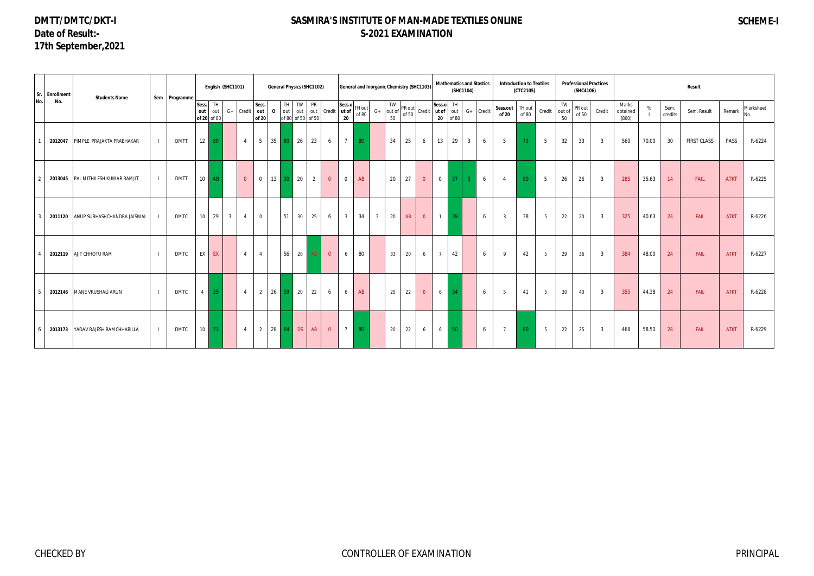# **DMTT/DMTC/DKT-I Date of Result:- 17th September,2021**

# **SASMIRA'S INSTITUTE OF MAN-MADE TEXTILES ONLINE S-2021 EXAMINATION**

# **SCHEME-I**

| No.           | Sr. Enrollment | <b>Students Name</b>               | Sem Programme |          |                        | English (SHC1101) |                |                       | <b>General Physics (SHC1102)</b> |                                                |    |                |                                                                                   |       |                |          |                                                                                | General and Inorganic Chemistry (SHC1103) |                         |    | <b>Mathematics and Stastics</b><br>(SHC1104) |   | <b>Introduction to Textiles</b> | (CTC2105)       |                |                           | (SHC4106)       | <b>Professional Practices</b> |                            |       |                 | Result      |             |                  |
|---------------|----------------|------------------------------------|---------------|----------|------------------------|-------------------|----------------|-----------------------|----------------------------------|------------------------------------------------|----|----------------|-----------------------------------------------------------------------------------|-------|----------------|----------|--------------------------------------------------------------------------------|-------------------------------------------|-------------------------|----|----------------------------------------------|---|---------------------------------|-----------------|----------------|---------------------------|-----------------|-------------------------------|----------------------------|-------|-----------------|-------------|-------------|------------------|
|               | No.            |                                    |               | Sess. TH | out out<br>of 20 of 80 |                   | G+ Credit      | Sess.<br>out<br>of 20 |                                  | TH TW PR<br>0 out out out<br>of 80 of 50 of 50 |    |                | Credit $\begin{bmatrix} \text{Sess.o} \\ \text{ut of} \end{bmatrix}$ TH out<br>20 | of 80 | $G+$           | TW<br>50 | $\begin{bmatrix} \n\text{V} \\ \text{out of} \\ \text{of 50} \\ \end{bmatrix}$ | Credit ut of                              | Sess.o TH<br>$20$ of 80 |    | out G+ Credit                                |   | Sess.out<br>of 20               | TH out<br>of 80 |                | TW<br>Credit out of<br>50 | PR out<br>of 50 | Credit                        | Marks<br>obtained<br>(800) | %     | Sem.<br>credits | Sem. Result | Remark      | Marksheet<br>No. |
|               | 2012047        | PIMPLE PRAJAKTA PRABHAKAR          | <b>DMTT</b>   |          | $12 \mid 80$           |                   | $\overline{4}$ | 5                     | 35 80 26                         |                                                | 23 | 6              | $\overline{7}$                                                                    | 80    |                | 34       | 25                                                                             | 6                                         | 13                      | 29 | $\overline{3}$                               | 6 | -5                              | 73              | 5              | 32                        | 33              | $\overline{3}$                | 560                        | 70.00 | 30              | FIRST CLASS | PASS        | R-6224           |
| $\mathcal{P}$ |                | 2013045 PAL MITHILESH KUMAR RAMJIT | <b>DMTT</b>   |          | $10$ AB                |                   | $\overline{0}$ | $\mathbf 0$           | 13                               | $\vert$ 20<br>30                               | 2  | $\overline{0}$ | $\overline{0}$                                                                    | AB    |                | 20       | 27                                                                             | $\overline{0}$                            | $\overline{0}$          | 37 | $\overline{3}$                               | 6 | $\overline{4}$                  | 80              | 5              | 26                        | 26              | $\overline{3}$                | 285                        | 35.63 | 14              | <b>FAIL</b> | <b>ATKT</b> | R-6225           |
| -3            | 2011120        | ANUP SUBHASHCHANDRA JAISWAL        | DMTC          | 10       | 29                     | 3 <sup>1</sup>    | $\overline{4}$ | $\overline{0}$        | 51                               | 30                                             | 25 | 6              | $\overline{3}$                                                                    | 34    | $\overline{3}$ | 20       | AB                                                                             | $\overline{0}$                            | $1 \quad$               | 39 |                                              | 6 | $\overline{3}$                  | 38              | 5              | 22                        | 20              | $\overline{\mathbf{3}}$       | 325                        | 40.63 | 24              | <b>FAIL</b> | <b>ATKT</b> | R-6226           |
| $\Lambda$     |                | 2012119 AJIT CHHOTU RAM            | <b>DMTC</b>   |          | EX EX                  |                   | $\overline{4}$ | $\overline{4}$        |                                  | 56<br>20                                       | AB | $\overline{0}$ | 6                                                                                 | 80    |                | 33       | 20                                                                             | 6                                         | $\overline{7}$          | 42 |                                              | 6 | $\mathbf Q$                     | 42              | 5              | 29                        | 36              | $\overline{3}$                | 384                        | 48.00 | 24              | <b>FAIL</b> | <b>ATKT</b> | R-6227           |
| -5            |                | 2012146 MANE VRUSHALI ARUN         | <b>DMTC</b>   |          | $4 \mid 39 \mid$       |                   | $\overline{4}$ | 2                     | 26                               | 59 20                                          | 22 | 6              | 6                                                                                 | AB    |                | 25       | 22                                                                             | $\overline{0}$                            | $6\overline{6}$         | 34 |                                              | 6 | -5                              | 41              | 5              | 30                        | 40              | $\overline{3}$                | 355                        | 44.38 | 24              | FAIL        | <b>ATKT</b> | R-6228           |
|               |                | 2013173 YADAV RAJESH RAMCHHABILLA  | <b>DMTC</b>   |          | $10$ 73                |                   | $\overline{4}$ | $\overline{2}$        | 28 64 DS AB                      |                                                |    | $\overline{0}$ | 7 I                                                                               | 80    |                | 20       | 22                                                                             | 6                                         | $6 \mid$                | 50 |                                              | 6 | $\overline{7}$                  | 80              | 5 <sup>5</sup> | 22                        | 25              | $\overline{\mathbf{3}}$       | 468                        | 58.50 | 24              | FAIL        | <b>ATKT</b> | R-6229           |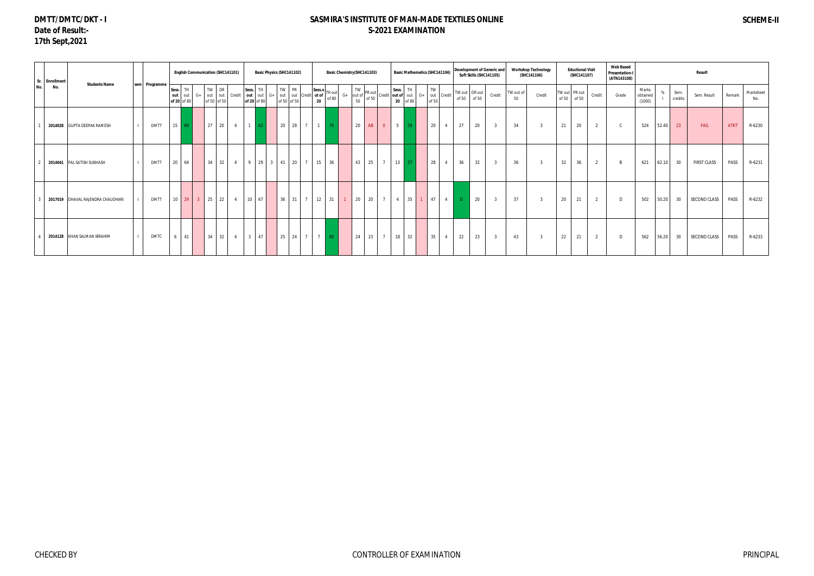## **DMTT/DMTC/DKT - I Date of Result:- 17th Sept,2021**

|     | Sr. Enrollment | <b>Students Name</b>              |               |                       |                    |                       | <b>English Communication (SHC141101)</b> |    |                |                   |                          | Basic Physics (SHC141102) |                         |           |           | Basic Chemistry (SHC141103)                                                                                                                                                     |                |    |    |                |                |                 | <b>Basic Mathematics (SHC141104)</b> |    |                          | Soft Skills (SHC141105) | Development of Generic and |                 | <b>Workshop Technology</b><br>(SHC141106) |       | <b>Eductional Visit</b><br>(SHC141107) |        | <b>Web Based</b><br><b>Presentation-I</b><br>(ATN143108) |                             |       |                 | Result             |             |                  |
|-----|----------------|-----------------------------------|---------------|-----------------------|--------------------|-----------------------|------------------------------------------|----|----------------|-------------------|--------------------------|---------------------------|-------------------------|-----------|-----------|---------------------------------------------------------------------------------------------------------------------------------------------------------------------------------|----------------|----|----|----------------|----------------|-----------------|--------------------------------------|----|--------------------------|-------------------------|----------------------------|-----------------|-------------------------------------------|-------|----------------------------------------|--------|----------------------------------------------------------|-----------------------------|-------|-----------------|--------------------|-------------|------------------|
| No. | No.            |                                   | sem Programme | Sess.<br>out<br>of 20 | TH<br>out<br>of 80 | $G+$                  | TW<br>out out Credit<br>of 50 of 50      | OR |                | Sess.<br>out      | <b>TH</b><br>of 20 of 80 |                           | PR<br>TW<br>of 50 of 50 |           | 20        | Sess.o TH out<br>$\int \frac{1}{1} \cot \theta = \int \theta + \int \theta dt$ out $\int \frac{1}{1} \cot \theta = \int \frac{1}{1} \cot \theta = \int \frac{1}{1} \cot \theta$ |                |    |    |                |                |                 | G+ out Credit<br>of 50               | TW | of 50                    | TW out OR out<br>of 50  | Credit                     | TW out of<br>50 | Credit                                    | of 50 | TW out PR out<br>of 50                 | Credit | Grade                                                    | Marks<br>obtained<br>(1000) |       | Sem.<br>credits | Sem. Result        | Remark      | Marksheet<br>No. |
|     |                | 2014028 GUPTA DEEPAK RAMESH       | <b>DMTT</b>   | 15                    |                    |                       | 27 <sup>1</sup>                          | 20 | $\overline{4}$ | $1 \overline{62}$ |                          |                           |                         | 20 28 7   | $\vert$ 1 | 75                                                                                                                                                                              |                | 20 | AB | $\overline{0}$ | $5 \vert$      | 39 <sup>°</sup> |                                      | 20 | 27<br>$\overline{4}$     | 20                      | $\overline{3}$             | 34              | $\overline{3}$                            | 21    | 20                                     | 2      | $\mathsf{C}$                                             | 524                         | 52.40 | 23              | FAIL               | <b>ATKT</b> | R-6230           |
|     |                | 2014041 PAL SATISH SUBHASH        | <b>DMTT</b>   | 20                    | 64                 |                       | 34                                       | 32 | $\overline{4}$ |                   |                          | 9 29 3 41 20 7            |                         |           |           | 15 36                                                                                                                                                                           |                | 43 | 25 | $\overline{7}$ | $13 \mid 37$   |                 |                                      | 28 | 36<br>$\overline{4}$     | 32                      | $\overline{3}$             | 36              |                                           | 32    | 36                                     | 2      | $\overline{B}$                                           | 621                         | 62.10 | 30              | <b>FIRST CLASS</b> | PASS        | R-6231           |
|     |                | 2017019 DHAVAL RAJENDRA CHAUDHARI | <b>DMTT</b>   |                       |                    | $10 \quad 29 \quad 3$ | 25                                       | 22 | $\overline{4}$ |                   | $10 \quad 67$            |                           |                         | $36$ 31 7 |           | 12 31                                                                                                                                                                           | $\overline{1}$ | 20 | 20 | $7^{\circ}$    | $\overline{4}$ | 35              | 1 <sup>1</sup>                       | 47 | $\sim$ 4<br>$\mathbf{D}$ | 20                      | $\overline{3}$             | 37              | $\overline{2}$                            | 20    | 21                                     | 2      | $\Box$                                                   | 502                         | 50.20 | 30              | SECOND CLASS       | PASS        | R-6232           |
|     |                | 2014128 KHAN SALMAN IBRAHIM       | <b>DMTC</b>   | 6                     | 41                 |                       | 34 32                                    |    | $\overline{4}$ |                   | $3 \mid 47 \mid$         |                           |                         | 25 24 7   |           | 7 80                                                                                                                                                                            |                | 24 | 23 | $\overline{7}$ | 18 32          |                 |                                      | 35 | 22<br>$\overline{4}$     | 23                      | $\overline{\mathbf{3}}$    | 43              |                                           | 22    | 21                                     | 2      | D                                                        | 562                         | 56.20 | 30              | SECOND CLASS       | PASS        | R-6233           |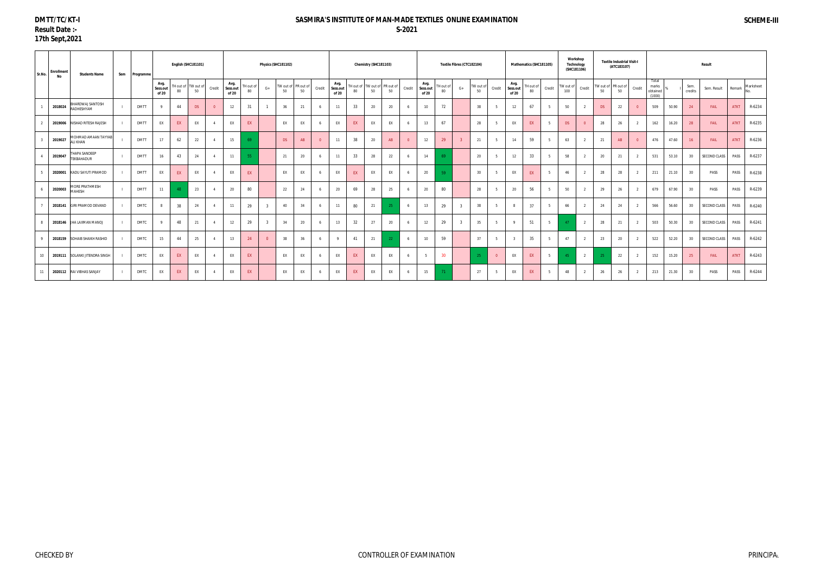#### **DMTT/TC/KT-I Result Date :- 17th Sept,2021**

| Sr.No. | <b>Enrollment</b><br>No | <b>Students Name</b>                   | Sem | Programme   |                           |    | English (SHC181101)       |        |                           |                 | Physics (SHC181102) |                           |    |                |                           |    | Chemistry (SHC181103)               |    |        |                           |                 | Textile Fibres (CTC182104) |                 |                |                           | Mathematics (SHC181105) |        |                  | Workshop<br>Technology<br>(SHC181106) |    | <b>Textile Industrial Visit-I</b><br>(ATC183107) |        |                                      |       |                 | Result       |             |           |
|--------|-------------------------|----------------------------------------|-----|-------------|---------------------------|----|---------------------------|--------|---------------------------|-----------------|---------------------|---------------------------|----|----------------|---------------------------|----|-------------------------------------|----|--------|---------------------------|-----------------|----------------------------|-----------------|----------------|---------------------------|-------------------------|--------|------------------|---------------------------------------|----|--------------------------------------------------|--------|--------------------------------------|-------|-----------------|--------------|-------------|-----------|
|        |                         |                                        |     |             | Avg.<br>Sess.out<br>of 20 | 80 | TH out of TW out of<br>50 | Credit | Avg.<br>Sess.out<br>of 20 | TH out of<br>80 | $G+$                | TW out of PR out of<br>50 | 50 | Credit         | Avg.<br>Sess.out<br>of 20 | 80 | TH out of TW out of PR out of<br>50 | 50 | Credit | Avg.<br>Sess.out<br>of 20 | TH out of<br>80 | $G+$                       | TW out of<br>50 | Credit         | Avg.<br>Sess.out<br>of 20 | TH out of<br>80         | Credit | TW out of<br>100 | Credit                                | 50 | TW out of PR out of<br>50                        | Credit | Total<br>marks<br>obtained<br>(1000) |       | Sem.<br>credits | Sem. Result  | Remark      | Marksheet |
|        | 2018024                 | BHARDWAJ SANTOSH<br>RADHESHYAM         |     | <b>DMTT</b> |                           | 44 | DS                        |        | 12                        | 31              |                     | 36                        | 21 | 6              | 11                        | 33 | 20                                  | 20 | 6      | 10 <sup>10</sup>          | 72              |                            | 38              | 5              | 12                        | 67                      |        | 50               | 2                                     | DS | 22                                               |        | 509                                  | 50.90 | 24              | FAIL         | <b>ATKT</b> | R-6234    |
|        | 2019006                 | NISHAD RITESH RAJESH                   |     | <b>DMTT</b> | EX                        | EX | EX                        |        | EX                        | EX              |                     | EX                        | EX | 6              | EX                        | EX | EX                                  | EX | 6      | 13                        | 67              |                            | 28              | 5              | EX                        | EX                      |        | DS               | $\Omega$                              | 28 | 26                                               |        | 162                                  | 16.20 | 28              | FAIL         | <b>ATKT</b> | R-6235    |
|        | 2019027                 | MOHMAD AMAAN TAYYAB<br><b>ALI KHAN</b> |     | <b>DMTT</b> | 17                        | 62 | 22                        |        | 15                        |                 |                     | <b>DS</b>                 | AB | $\overline{0}$ | 11                        | 38 | 20                                  | AB |        | 12                        | 29              |                            | 21              | $5^{\circ}$    | 14                        | 59                      |        | 63               |                                       | 21 | AB                                               |        | 476                                  | 47.60 | 16              | FAIL         | <b>ATKT</b> | R-6236    |
|        | 2019047                 | THAPA SANDEEP<br><b>TEKBAHADUR</b>     |     | <b>DMTT</b> | 16                        | 43 | 24                        |        | 11                        | 55              |                     | 21                        | 20 | 6              | 11                        | 33 | 28                                  | 22 |        | 14                        | 69              |                            | 20              | -5             | 12                        | 33                      |        | 58               | $\overline{2}$                        | 20 | 21                                               |        | 531                                  | 53.10 | 30              | SECOND CLASS | PASS        | R-6237    |
|        | 2020001                 | KADU SAYUTI PRAMOD                     |     | <b>DMTT</b> | EX                        | EX | EX                        |        | EX                        | EX              |                     | EX                        | EX | 6              | EX                        | EX | EX                                  | EX |        | 20                        | 50              |                            | 30 <sup>°</sup> | 5              | EX                        | EX                      |        | 46               |                                       | 28 | 28                                               |        | 211                                  | 21.10 | 30              | PASS         | PASS        | R-6238    |
|        | 2020003                 | MORE PRATHMESH<br>MAHESH               |     | <b>DMTT</b> | 11                        | 48 | 23                        |        | 20                        | 80              |                     | 22                        | 24 |                | 20                        | 69 | 28                                  | 25 |        | 20                        | 80              |                            | 28              | 5              | 20                        | 56                      |        | 50               |                                       | 29 | 26                                               |        | 679                                  | 67.90 | 30              | PASS         | PASS        | R-6239    |
|        |                         | 2018141 GIRI PRAMOD DEVAND             |     | <b>DMTC</b> | -8                        | 38 | 24                        |        | 11                        | 29              | $\overline{3}$      | 40                        | 34 | 6              | 11                        | 80 | 21                                  |    | 6      | 13                        | 29              |                            | 38              | $5^{\circ}$    | 8                         | 37                      |        | 66               | $\overline{2}$                        | 24 | 24                                               |        | 566                                  | 56.60 | 30              | SECOND CLASS | PASS        | R-6240    |
|        |                         | 2018146 JHA LAXMAN MANOJ               |     | <b>DMTC</b> |                           | 48 | 21                        |        | 12                        | 29              | $\overline{3}$      | 34                        | 20 | 6              | 13                        | 32 | 27                                  | 20 |        | 12                        | 29              |                            | 35              | 5              | 9                         | 51                      |        |                  | 2                                     | 28 | 21                                               |        | 503                                  | 50.30 | 30              | SECOND CLASS | PASS        | R-6241    |
|        |                         | 2018159 SOHAIB SHAIKH RASHID           |     | <b>DMTC</b> | 15                        | 44 | 25                        |        | 13                        | 24              |                     | 38                        | 36 | 6              | $\mathbf{Q}$              | 41 | 21                                  |    |        | 10 <sup>10</sup>          | 59              |                            | 37              | 5              |                           | 35                      |        | 47               |                                       | 23 | 20                                               |        | 522                                  | 52.20 | 30              | SECOND CLASS | PASS        | R-6242    |
| 10     |                         | 2019111 SOLANKI JITENDRA SINGH         |     | DMTC        | EX                        | EX | EX                        |        | EX                        | EX              |                     | EX                        | EX | 6              | EX                        | EX | EX                                  | EX |        |                           | 30 <sup>°</sup> |                            |                 | $\overline{0}$ | EX                        | EX                      |        |                  | $\overline{2}$                        | 25 | 22                                               |        | 152                                  | 15.20 | 25              | FAIL         | <b>ATKT</b> | R-6243    |
|        |                         | 2020112 RAI VIBHAS SANJAY              |     | <b>DMTC</b> | EX                        | EX | EX                        |        | EX                        | EX              |                     | EX                        | EX |                | EX                        | EX | EX                                  | EX |        | 15                        |                 |                            | 27              | $5^{\circ}$    | EX                        | EX                      |        | 48               |                                       | 26 | 26                                               |        | 213                                  | 21.30 | 30              | PASS         | PASS        | R-6244    |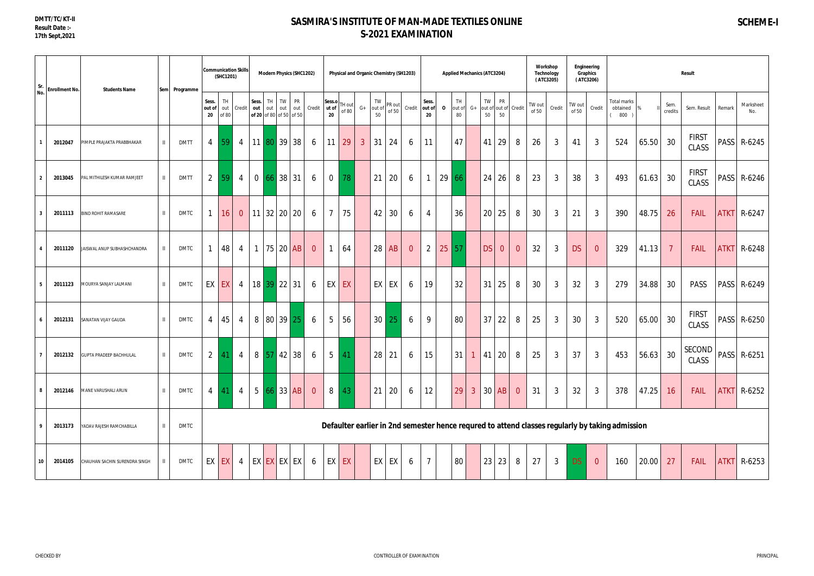| Sr.<br>No.              | <b>Enrollment No.</b> | <b>Students Name</b>           |              | Sem Programme |                       | (SHC1201)           | <b>Communication Skills</b> |       | <b>Modern Physics (SHC1202)</b>                |    |                  |                |                       | Physical and Organic Chemistry (SH1203) |              |                 |                                                                                        |                |                       |              | <b>Applied Mechanics (ATC3204)</b> |      |             |                      |                            | (ATC3205)       | Workshop<br><b>Technology</b> |                 | Engineering<br>Graphics<br>(ATC3206) |                                                                                                 |       |                 | Result                        |        |                    |
|-------------------------|-----------------------|--------------------------------|--------------|---------------|-----------------------|---------------------|-----------------------------|-------|------------------------------------------------|----|------------------|----------------|-----------------------|-----------------------------------------|--------------|-----------------|----------------------------------------------------------------------------------------|----------------|-----------------------|--------------|------------------------------------|------|-------------|----------------------|----------------------------|-----------------|-------------------------------|-----------------|--------------------------------------|-------------------------------------------------------------------------------------------------|-------|-----------------|-------------------------------|--------|--------------------|
|                         |                       |                                |              |               | Sess.<br>out of<br>20 | TH.<br>out<br>of 80 | Credit                      | Sess. | TH I<br>out out out<br>of 20 of 80 of 50 of 50 | TW | <b>PR</b><br>out | Credit         | Sess.o<br>ut of<br>20 | TH out<br>of 80                         | $G+$         | 50              | $TW$ $ PR out $<br>$\left  \text{out of} \right  \right  \left  \text{of } 50 \right $ | Credit         | Sess.<br>out of<br>20 | $\mathbf{o}$ | TH<br>out of<br>80                 | $G+$ | TW<br>50    | <b>PR</b><br>50      | out of out of Credit       | TW out<br>of 50 | Credit                        | TW out<br>of 50 | Credit                               | <b>Total marks</b><br>obtained<br>800                                                           |       | Sem.<br>credits | Sem. Result                   | Remark | Marksheet<br>No.   |
| $\overline{1}$          | 2012047               | PIMPLE PRAJAKTA PRABBHAKAR     |              | <b>DMTT</b>   | 4                     | 59                  | $\overline{4}$              |       | $11 \,   \, 80 \,   \, 39 \,  $                |    | 38               | 6              | 11                    | 29                                      | $\mathbf{3}$ | 31              | 24                                                                                     | 6              | 11                    |              | 47                                 |      |             | $41 \,   \, 29 \,  $ | 8                          | 26              | 3                             | 41              | $\mathbf{3}$                         | 524                                                                                             | 65.50 | 30              | <b>FIRST</b><br><b>CLASS</b>  |        | PASS   R-6245      |
| $\overline{2}$          | 2013045               | PAL MITHILESH KUMAR RAMJEET    |              | <b>DMTT</b>   | $\overline{2}$        | 59                  | 4                           |       | 0   66   38                                    |    | 31               | 6              | $\overline{0}$        | 78                                      |              | 21              | 20                                                                                     | 6              |                       | 29           | -66                                |      | 24          | 26                   | 8                          | 23              | $\mathbf{3}$                  | 38              | 3                                    | 493                                                                                             | 61.63 | 30              | <b>FIRST</b><br><b>CLASS</b>  |        | PASS   R-6246      |
| $\overline{\mathbf{3}}$ | 2011113               | <b>BIND ROHIT RAMASARE</b>     | $\mathbf{I}$ | <b>DMTC</b>   | $\mathbf{1}$          | 16                  | $\overline{0}$              |       | $11 \mid 32 \mid 20 \mid$                      |    | 20               | 6              | $\overline{7}$        | 75                                      |              | 42              | 30                                                                                     | 6              | 4                     |              | 36                                 |      | 20          | 25                   | 8                          | 30              | 3                             | 21              | $\mathbf{3}$                         | 390                                                                                             | 48.75 | 26              | FAIL                          |        | <b>ATKT R-6247</b> |
| $\overline{4}$          | 2011120               | JAISWAL ANUP SUBHASHCHANDRA    |              | <b>DMTC</b>   | $\mathbf{1}$          | 48                  | 4                           |       | 75 20 AB                                       |    |                  | $\overline{0}$ | $\mathbf{1}$          | 64                                      |              | 28 <sup>1</sup> | AB                                                                                     | $\overline{0}$ | 2                     | 25           | 57                                 |      | <b>DS</b>   | $\overline{0}$       | $\overline{0}$             | 32              | 3                             | <b>DS</b>       | $\overline{0}$                       | 329                                                                                             | 41.13 | $\overline{7}$  | FAIL                          |        | <b>ATKT R-6248</b> |
| 5 <sub>5</sub>          | 2011123               | MOURYA SANJAY LALMANI          |              | DMTC          |                       | EX EX               | 4                           |       | 18 39 22 31                                    |    |                  | 6              |                       | EX EX                                   |              | EX              | EX                                                                                     | 6              | 19                    |              | 32                                 |      | 31          | 25                   | 8                          | 30              | $\mathfrak{Z}$                | 32              | 3                                    | 279                                                                                             | 34.88 | 30              | <b>PASS</b>                   |        | PASS R-6249        |
| - 6                     | 2012131               | SANATAN VIJAY GAUDA            | $\mathbf{I}$ | <b>DMTC</b>   | 4                     | 45                  | $\overline{4}$              |       | 8 80 39 25                                     |    |                  | 6              | $5\overline{)}$       | 56                                      |              | 30 <sup>1</sup> | 25                                                                                     | 6              | 9                     |              | 80                                 |      | 37          | 22                   | 8                          | 25              | $\mathbf{3}$                  | 30              | $\mathbf{3}$                         | 520                                                                                             | 65.00 | 30              | <b>FIRST</b><br>CLASS         |        | PASS   R-6250      |
| $\overline{7}$          | 2012132               | <b>GUPTA PRADEEP BACHHULAL</b> | $\mathbf{I}$ | DMTC          | $\overline{2}$        | 41                  | 4                           |       | $8 \,   \, 57 \,   \, 42 \,   \,$              |    | 38               | 6              | 5 <sup>5</sup>        | 41                                      |              | 28              | 21                                                                                     | 6              | 15                    |              | 31                                 |      | $1 \mid 41$ | 20                   | 8                          | 25              | $\mathfrak{Z}$                | 37              | $\mathbf{3}$                         | 453                                                                                             | 56.63 | 30              | <b>SECOND</b><br><b>CLASS</b> |        | PASS R-6251        |
| 8                       | 2012146               | MANE VARUSHALI ARUN            | $\mathbf{I}$ | <b>DMTC</b>   | $\overline{4}$        |                     | 41 4                        |       | 5 66 33 AB                                     |    |                  | $\overline{0}$ | 8 <sup>1</sup>        | 43                                      |              | 21              | 20                                                                                     | 6              | 12                    |              | 29                                 |      |             |                      | $3 \mid 30 \mid AB \mid 0$ | 31              | $\mathbf{3}$                  | 32              | $\mathbf{3}$                         | 378                                                                                             | 47.25 | 16              | <b>FAIL</b>                   |        | <b>ATKT</b> R-6252 |
| $\overline{9}$          | 2013173               | YADAV RAJESH RAMCHABILLA       |              | <b>DMTC</b>   |                       |                     |                             |       |                                                |    |                  |                |                       |                                         |              |                 |                                                                                        |                |                       |              |                                    |      |             |                      |                            |                 |                               |                 |                                      | Defaulter earlier in 2nd semester hence requred to attend classes regularly by taking admission |       |                 |                               |        |                    |
| 10                      | 2014105               | CHAUHAN SACHIN SURENDRA SINGH  |              | <b>DMTC</b>   |                       | EX EX               |                             |       | 4   EX $ EX $ EX $ EX $                        |    |                  | 6              |                       | EX EX                                   |              | EX              | EX                                                                                     | 6              | $\overline{7}$        |              | 80                                 |      |             | 23 23                | 8                          | 27              | $\mathbf{3}$                  | <b>DS</b>       | $\overline{0}$                       | 160                                                                                             | 20.00 | 27              | FAIL                          |        | <b>ATKT R-6253</b> |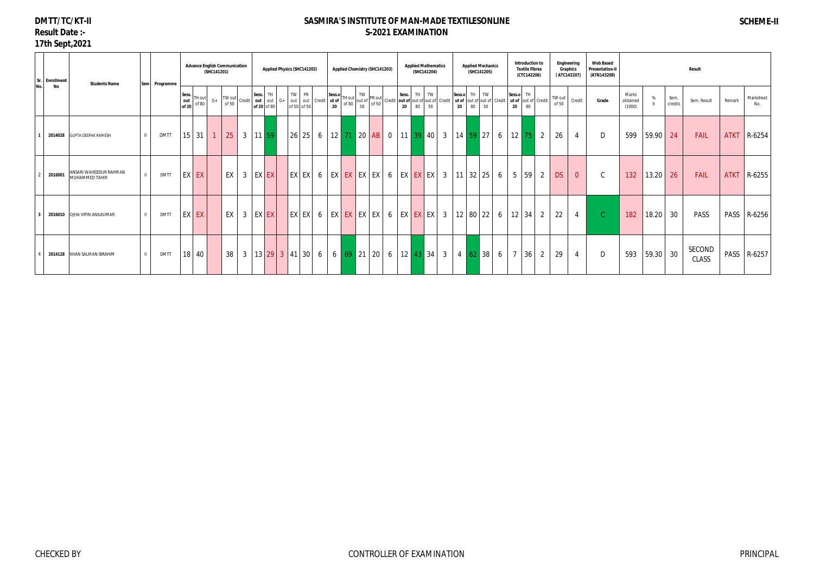# **DMTT/TC/KT-II Result Date :-**

# **17th Sept,2021**

| Sr. Enrollment | <b>Students Name</b>                     | Sem Programme | <b>Advance English Communication</b>     | (SHC141201) |    |                |             |       | <b>Applied Physics (SHC141202)</b> |       |  | Applied Chemistry (SHC141203) |  |  | <b>Applied Mathematics</b> | (SHC141204) |              |          | <b>Applied Mechanics</b><br>(SHC141205)                                                                         |   |                 | Introduction to<br><b>Textile Fibres</b><br>(CTC142206) |                     |                 | Engineering<br>Graphics<br>(ATC143207) | <b>Web Based</b><br><b>Presentation-II</b><br>(ATN143208) |                             |       |                 | Result                 |             |                  |
|----------------|------------------------------------------|---------------|------------------------------------------|-------------|----|----------------|-------------|-------|------------------------------------|-------|--|-------------------------------|--|--|----------------------------|-------------|--------------|----------|-----------------------------------------------------------------------------------------------------------------|---|-----------------|---------------------------------------------------------|---------------------|-----------------|----------------------------------------|-----------------------------------------------------------|-----------------------------|-------|-----------------|------------------------|-------------|------------------|
| No<br>No.      |                                          |               | Sess.<br>TH out<br>out<br>of 80<br>of 20 | $G+$        |    |                |             |       |                                    |       |  |                               |  |  |                            |             | Sess.o<br>20 | TH<br>80 | TW<br>ut of out of out of Credit<br>50                                                                          |   | Sess.o TH<br>20 | 80                                                      | ut of out of Credit | TW out<br>of 50 | Credit                                 | Grade                                                     | Marks<br>obtained<br>(1000) |       | Sem.<br>credits | Sem. Result            | Remark      | Marksheet<br>No. |
|                | 2014028 GUPTA DEEPAK RAMESH              | <b>DMTT</b>   | $15 \mid 31$                             |             | 25 |                | 3   11   59 |       |                                    |       |  |                               |  |  |                            |             |              |          | 26   25   6   12   71   20   AB   0   11   39   40   3   14   59   27                                           | 6 |                 |                                                         | $12 \mid 75 \mid 2$ | 26              | $\overline{4}$                         | D                                                         | 599                         | 59.90 | 24              | FAIL                   | <b>ATKT</b> | R-6254           |
| 2016001        | ANSARI WAHEEDUR RAHMAN<br>MOHAMMED TAHIR | <b>DMTT</b>   | EX EX                                    |             | EX | $\overline{3}$ |             | EX EX |                                    | EX EX |  |                               |  |  |                            |             |              |          |                                                                                                                 | 6 |                 | $5 \mid 59 \mid$                                        | $\overline{2}$      | <b>DS</b>       | $\overline{0}$                         | $\mathsf{C}$                                              | 132                         | 13.20 | 26              | FAIL                   | <b>ATKT</b> | R-6255           |
|                | 2016010 OJHA VIPIN ANILKUMAR             | <b>DMTT</b>   | EX EX                                    |             | EX | $\overline{3}$ |             | EX EX |                                    | EX EX |  |                               |  |  |                            |             |              |          |                                                                                                                 | 6 |                 | $12 \mid 34 \mid$                                       | $\overline{2}$      | 22              | $\overline{4}$                         |                                                           | 182                         | 18.20 | 30              | <b>PASS</b>            | PASS        | R-6256           |
|                | 2014128 KHAN SALMAN IBRAHIM              | <b>DMTT</b>   | 18 40                                    |             | 38 |                |             |       |                                    |       |  |                               |  |  |                            |             |              |          | 3   13   29   3   41   30   6   6   69   21   20   6   12   <mark>43  </mark> 34   3   4   <mark>62  </mark> 38 | 6 |                 | $7 \mid 36$                                             | $\overline{2}$      | 29              | $\overline{4}$                         | D                                                         | 593                         | 59.30 | 30              | SECOND<br><b>CLASS</b> | PASS        | R-6257           |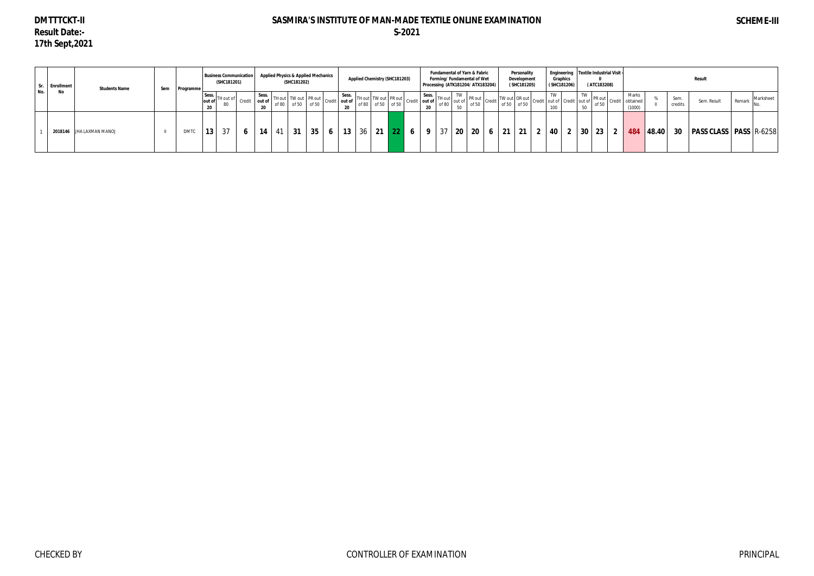# **DMTTTCKT-II Result Date:- 17th Sept,2021**

|     | Gr. Enrollment | <b>Students Name</b>     | Sem | Programme   |                 | (SHC181201)     | <b>Business Communication</b> |               | <b>Applied Physics &amp; Applied Mechanics</b><br>(SHC181202)                                                                                                                                                                                                                                                                                                                                                                                                                             |    |  | Applied Chemistry (SHC181203) |  | Processing (ATK181204/ ATX183204) |             | Fundamental of Yarn & Fabric<br>Forming/Fundamental of Wet |                  | Personality<br>Development<br>(SHC181205) | Engineering   Textile Industrial Visit -<br>Graphics<br>(SHC181206) | (ATC183208) |                                                                                                                                                                                      |                 | Result                                                      |        |           |
|-----|----------------|--------------------------|-----|-------------|-----------------|-----------------|-------------------------------|---------------|-------------------------------------------------------------------------------------------------------------------------------------------------------------------------------------------------------------------------------------------------------------------------------------------------------------------------------------------------------------------------------------------------------------------------------------------------------------------------------------------|----|--|-------------------------------|--|-----------------------------------|-------------|------------------------------------------------------------|------------------|-------------------------------------------|---------------------------------------------------------------------|-------------|--------------------------------------------------------------------------------------------------------------------------------------------------------------------------------------|-----------------|-------------------------------------------------------------|--------|-----------|
| No. | No             |                          |     |             | Sess.           | TH out of<br>80 |                               | Credit out of | $\begin{array}{ c c c c c }\nSess. & \multicolumn{1}{ }{\text{TH out}} & \multicolumn{1}{ }{\text{TW out}} & \multicolumn{1}{ }{\text{PR out}} & \multicolumn{1}{ }{\text{Sess.}} & \multicolumn{1}{ }{\text{TH out of}} & \multicolumn{1}{ }{\text{TH out of}} & \multicolumn{1}{ }{\text{DT}} & \multicolumn{1}{ }{\text{O to}} & \multicolumn{1}{ }{\text{O to}} & \multicolumn{1}{ }{\text{O to}} & \multicolumn{1}{ }{\text{O to}} & \multicolumn{1}{ }{\text{O to}} & \multicolumn$ |    |  |                               |  |                                   |             |                                                            |                  |                                           |                                                                     |             | $\begin{array}{c c}\n\text{I} & \text{TW} \\ \text{* of} & \text{P}\text{R} & \text{Out} \\ \hline\n\text{of 50} & \text{Credit} & \text{obtained} \\ \hline\n\end{array}$<br>(1000) | Sem.<br>credits | Sem. Result                                                 | Remark | Marksheet |
|     |                | 2018146 JHA LAXMAN MANOJ |     | <b>DMTC</b> | 13 <sup>1</sup> | 37              |                               | 14            | 31                                                                                                                                                                                                                                                                                                                                                                                                                                                                                        | 35 |  | 6   13   36   21   22   6     |  |                                   | 9   37   20 | 20 <sub>1</sub>                                            | $6 \mid 21 \mid$ | 21 2 40                                   | $\overline{2}$                                                      |             |                                                                                                                                                                                      |                 | 30   23   2   484   48.40   30   PASS CLASS   PASS   R-6258 |        |           |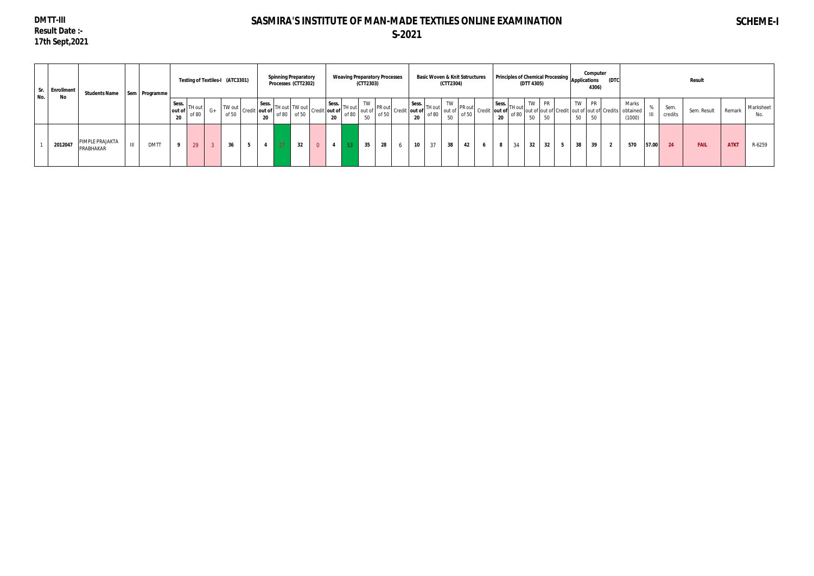## **DMTT-III Result Date :- 17th Sept,2021**

# **SASMIRA'S INSTITUTE OF MAN-MADE TEXTILES ONLINE EXAMINATION S-2021**

# **SCHEME-I**

| Sr.<br>No. | <b>Enrollment</b><br>No | Students Name   Sem   Programme |                    |                 |                 | Testing of Textiles-I (ATC3301) |                                                                                                            |       | <b>Spinning Preparatory</b><br>Processes (CTT2302) | <b>Weaving Preparatory Processes</b>                                                                                                                                 | (CTT2303)                                                                                                                                                                                                |    |                 |    | <b>Basic Woven &amp; Knit Sstructures</b><br>(CTT2304)                                                                                                                                                                             |    |                              | <b>Principles of Chemical Processing Applications</b>                                                | (DTT 4305)            |                |    | Computer<br>4306) | (DTC           |                 |        |                 | <b>Result</b> |             |                  |
|------------|-------------------------|---------------------------------|--------------------|-----------------|-----------------|---------------------------------|------------------------------------------------------------------------------------------------------------|-------|----------------------------------------------------|----------------------------------------------------------------------------------------------------------------------------------------------------------------------|----------------------------------------------------------------------------------------------------------------------------------------------------------------------------------------------------------|----|-----------------|----|------------------------------------------------------------------------------------------------------------------------------------------------------------------------------------------------------------------------------------|----|------------------------------|------------------------------------------------------------------------------------------------------|-----------------------|----------------|----|-------------------|----------------|-----------------|--------|-----------------|---------------|-------------|------------------|
|            |                         |                                 |                    | Sess.<br>out of | TH out<br>of 80 | of 50                           | $\sim$ $\sim$ $\left  \frac{\text{TW out}}{\text{CT}} \right $ Credit $\left  \text{out of} \right $<br>20 | of 80 | of 50                                              | $\begin{array}{c c c c c} \hline \end{array}$ Sess. Thout TW out credit out of $\begin{array}{c c} \hline \end{array}$<br>$\vert$ Sess. $\vert$ TH out $\vert$<br>20 | $\begin{array}{c} \blacksquare$ TW $\blacksquare$ PR out $\blacksquare$<br>$\left  \begin{array}{c} 0 & 0 \\ 0 & 0 \end{array} \right $ out of $\left  \begin{array}{c} 0 \\ 0 \\ 0 \end{array} \right $ |    | $20\,$          |    | $\begin{array}{c c c c c c} & & \text{Sess.} & & \text{TW} & \text{PR out} & \text{P} \text{R out} & \text{Credit} & \text{out of 50} & \text{Credit} & \text{of 80} & \text{of 50} & \text{Credit} & \text{C.} \end{array}$<br>50 |    | $\vert$ out of $\vert$<br>20 | $\vert$ Sess. $\vert$ TH out $\vert$<br>of of 80 out of out of Credit out of out of Credits obtained | TW PR<br>50<br>50     |                | 50 | TW PR<br>50       |                | Marks<br>(1000) | $\sim$ | Sem.<br>credits | Sem. Result   | Remark      | Marksheet<br>No. |
|            | 2012047                 | PIMPLE PRAJAKTA<br>PRABHAKAR    | III<br><b>DMTT</b> | $\bullet$       | 29              | 36                              |                                                                                                            | 27    | 32                                                 |                                                                                                                                                                      | 35                                                                                                                                                                                                       | 28 | 10 <sup>°</sup> | 37 | 38                                                                                                                                                                                                                                 | 42 | 8                            | 34                                                                                                   | 32<br>32 <sub>2</sub> | 5 <sub>5</sub> | 38 | 39                | $\overline{2}$ | 570             | 57.00  | 24              | <b>FAIL</b>   | <b>ATKT</b> | R-6259           |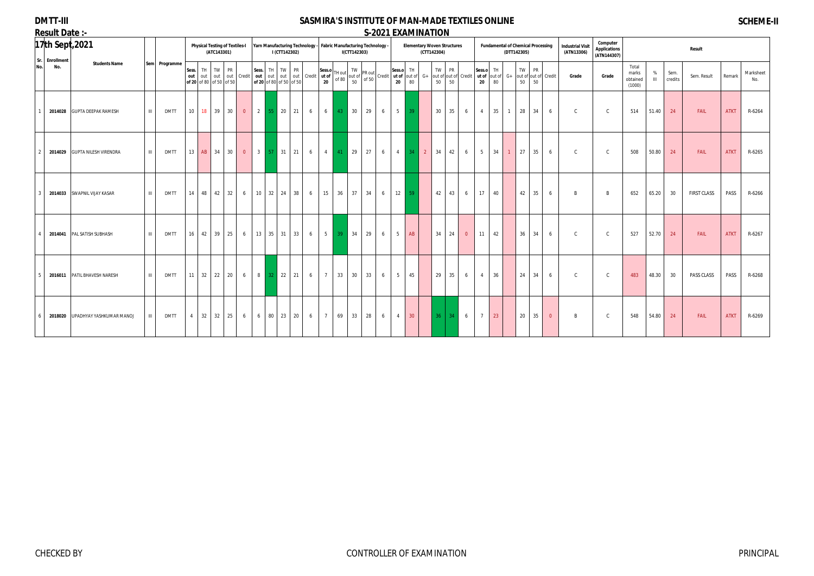## **DMTT-III Result Date :-**

## **SASMIRA'S INSTITUTE OF MAN-MADE TEXTILES ONLINE S-2021 EXAMINATION**

# **SCHEME-II**

| <u>ncsuit Date .-</u><br>Sr.<br>No. | Enrollment | 17th Sept, 2021              |              |               |                 |                                     | (ATC143301) | <b>Physical Testing of Textiles-I</b> |                |                 | I (CTT142302)                          |           |                      | Yarn Manufacturing Technology - Fabric Manufacturing Technology - |                | I(CTT142303) |                                                                                                                                                                                                                                          |   |                  |                 |                | J-404 I LANIVIIIVA I IVIV<br><b>Elementary Woven Structures</b><br>(CTT142304) |    |                            |                  | <b>Fundamental of Chemical Processing</b> | (DTT142305) |                 |                           | <b>Industrial Visit</b><br>(ATN13306) | Computer<br><b>Applications</b><br>(ATN144307) |                                      |                   |                 | Result             |             |                  |
|-------------------------------------|------------|------------------------------|--------------|---------------|-----------------|-------------------------------------|-------------|---------------------------------------|----------------|-----------------|----------------------------------------|-----------|----------------------|-------------------------------------------------------------------|----------------|--------------|------------------------------------------------------------------------------------------------------------------------------------------------------------------------------------------------------------------------------------------|---|------------------|-----------------|----------------|--------------------------------------------------------------------------------|----|----------------------------|------------------|-------------------------------------------|-------------|-----------------|---------------------------|---------------------------------------|------------------------------------------------|--------------------------------------|-------------------|-----------------|--------------------|-------------|------------------|
|                                     | No.        | <b>Students Name</b>         |              | Sem Programme | Sess.<br>out    | TH TW PR<br>of 20 of 80 of 50 of 50 |             | out out out Credit                    |                | out out         | Sess. TH TW<br>of 20 of 80 of 50 of 50 | <b>PR</b> | out out Credit ut of | Sess.o<br>$20\degree$                                             | H out<br>of 80 | TW<br>50     | $\begin{bmatrix} 1 \text{ W} \\ \text{out of} \\ 6 \text{ FQ} \end{bmatrix}$ PR out $\begin{bmatrix} 2655.0 \\ \text{Ut of} \\ \text{out of} \end{bmatrix}$ Credit $\begin{bmatrix} 1 \text{ H} \\ \text{out of} \\ 20 \end{bmatrix}$ G+ |   | Sess.o<br>$20\,$ | TH<br>80        |                | TW PR<br>50                                                                    | 50 | out of out of Credit ut of | Sess.o<br>$20\,$ | TH<br>out of<br>80                        | TW  <br>50  | <b>PR</b><br>50 | $G+$ out of out of Credit | Grade                                 | Grade                                          | Total<br>marks<br>obtained<br>(1000) | %<br>$\mathbf{m}$ | Sem.<br>credits | Sem. Result        | Remark      | Marksheet<br>No. |
|                                     |            | 2014028 GUPTA DEEPAK RAMESH  | $\mathbf{m}$ | <b>DMTT</b>   | 10              | 18 39                               |             | 30<br>$\overline{0}$                  | $\overline{2}$ |                 | 55 20 21                               |           | 6                    | 6 <sup>1</sup>                                                    | 43             | 30           | 29                                                                                                                                                                                                                                       | 6 | $5 \vert$        | 39              |                | 30                                                                             | 35 | 6                          | $\overline{4}$   | 35                                        | 28          | 34              | 6                         | $\mathsf{C}$                          | $\mathsf{C}$                                   | 514                                  | 51.40             | 24              | FAIL               | <b>ATKT</b> | R-6264           |
|                                     | 2014029    | <b>GUPTA NILESH VIRENDRA</b> | $\mathbf{m}$ | <b>DMTT</b>   |                 | 13 AB 34                            |             | 30<br>$\overline{0}$                  | $3 \mid$       |                 | $57$ 31 21                             |           | 6                    | $\overline{4}$                                                    | 41             | 29           | 27                                                                                                                                                                                                                                       | 6 | $\overline{4}$   | 34              | $\overline{2}$ | 34                                                                             | 42 | 6                          | 5                | 34                                        | 27          | 35              | 6                         | $\mathsf{C}$                          | $\mathsf{C}$                                   | 508                                  | 50.80             | 24              | FAIL               | <b>ATKT</b> | R-6265           |
|                                     | 2014033    | SWAPNIL VIJAY KASAR          | $\mathbf{m}$ | <b>DMTT</b>   | 14              | 48 42                               |             | 32<br>6                               |                |                 | $10 \mid 32 \mid 24 \mid$              | 38        | 6                    | 15                                                                | 36             | 37           | 34                                                                                                                                                                                                                                       | 6 | 12               | 59              |                | 42                                                                             | 43 | 6                          | 17               | 40                                        | 42          | 35              | 6                         | B                                     | $\mathsf{B}$                                   | 652                                  | 65.20             | 30              | <b>FIRST CLASS</b> | PASS        | R-6266           |
|                                     | 2014041    | PAL SATISH SUBHASH           | $\mathbf{m}$ | DMTT          | 16              | 42 39                               |             | 25<br>6                               |                |                 | $13 \mid 35 \mid 31 \mid$              | 33        | 6                    | $5-1$                                                             | -39            | 34           | 29                                                                                                                                                                                                                                       | 6 | 5                | AB              |                | 34                                                                             | 24 | $\overline{0}$             | 11               | 42                                        | 36          | 34              | 6                         | $\mathsf{C}$                          | $\mathsf{C}$                                   | 527                                  | 52.70             | 24              | FAIL               | <b>ATKT</b> | R-6267           |
|                                     | 2016011    | PATIL BHAVESH NARESH         | $\mathbf{m}$ | DMTT          | 11 <sup>1</sup> | 32 22                               |             | 20<br>6                               | 8 <sup>1</sup> | 32 <sup>2</sup> | 22 21                                  |           | 6                    | $7\overline{ }$                                                   | 33             | 30           | 33                                                                                                                                                                                                                                       | 6 | 5                | 45              |                | 29                                                                             | 35 | 6                          | $\overline{4}$   | 36                                        | 24          | 34              | 6                         | $\mathsf{C}$                          | $\mathsf{C}$                                   | 483                                  | 48.30             | 30              | PASS CLASS         | PASS        | R-6268           |
|                                     | 2018020    | UPADHYAY YASHKUMAR MANOJ     |              | <b>DMTT</b>   | $\overline{4}$  | $32 \mid 32$                        |             | 25<br>6                               | 6              | 80              | 23 20                                  |           | 6                    | $7\overline{ }$                                                   | 69             | 33           | 28                                                                                                                                                                                                                                       | 6 | $\overline{4}$   | 30 <sup>°</sup> |                | 36                                                                             | 34 | 6                          | $7\overline{ }$  | 23                                        | 20          | 35              | $\overline{0}$            | B                                     | $\mathsf{C}$                                   | 548                                  | 54.80             | 24              | FAIL               | <b>ATKT</b> | R-6269           |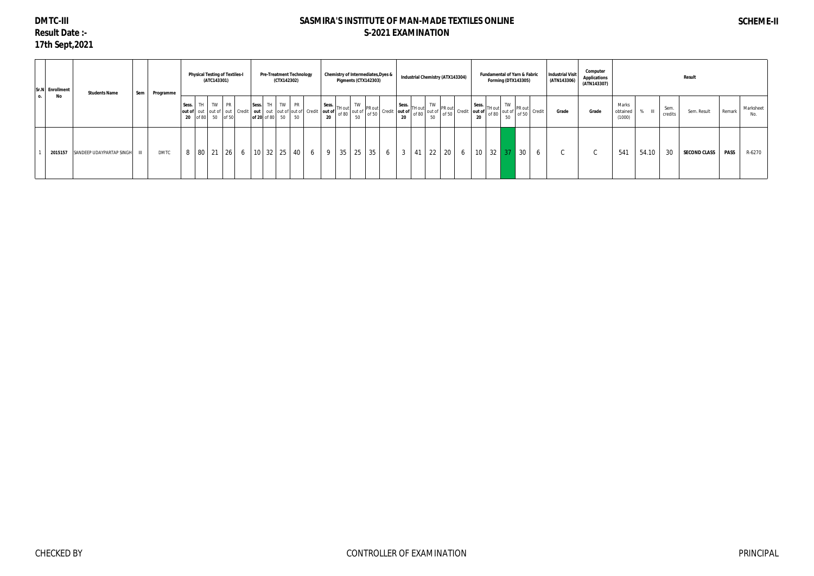# **DMTC-III Result Date :- 17th Sept,2021**

|           | Sr.N Enrollment | <b>Students Name</b>     | Sem   | Programme   |       |          | (ATC143301) | <b>Physical Testing of Textiles-I</b> |       |                                             | (CTX142302) | <b>Pre-Treatment Technology</b>                                 |   | <b>Chemistry of Intermediates, Dyes &amp;</b> | Pigments (CTX142303) |    |   | <b>Industrial Chemistry (ATX143304)</b> |    |       |    |    | <b>Fundamental of Yarn &amp; Fabric</b><br>Forming (DTX143305) |       | <b>Industrial Visit</b><br>(ATN143306)                                      | Computer<br><b>Applications</b><br>(ATN143307) |                             |              |                 | Result              |             |                  |
|-----------|-----------------|--------------------------|-------|-------------|-------|----------|-------------|---------------------------------------|-------|---------------------------------------------|-------------|-----------------------------------------------------------------|---|-----------------------------------------------|----------------------|----|---|-----------------------------------------|----|-------|----|----|----------------------------------------------------------------|-------|-----------------------------------------------------------------------------|------------------------------------------------|-----------------------------|--------------|-----------------|---------------------|-------------|------------------|
| <b>O.</b> | No              |                          |       |             | Sess. | 20 of 80 |             | $\sqrt{1 + 1}$ TW PR<br>50 of 50      | Sess. | TH TW PR<br>of 20 of 80 $\mid$ 50 $\mid$ 50 |             | out of out out of out Credit   out   out   out of out of Credit |   |                                               |                      |    |   |                                         |    |       |    |    |                                                                | of 50 | $\left  \text{TW} \right $ $\left  \text{PR out} \right $ Credit 1<br>Grade | Grade                                          | Marks<br>obtained<br>(1000) | $\mathbb{H}$ | Sem.<br>credits | Sem. Result         | Remark      | Marksheet<br>No. |
|           | 2015157         | SANDEEP UDAYPARTAP SINGH | - III | <b>DMTC</b> |       |          |             | $80$ 21 26                            |       | 6   10   32   25                            |             | $40 \mid 6$                                                     | 9 | 35                                            | 25                   | 35 | 6 |                                         | 41 | 22 20 | 10 | 32 | 37                                                             | 30    |                                                                             | ι.                                             | 541                         | 54.10        | 30              | <b>SECOND CLASS</b> | <b>PASS</b> | R-6270           |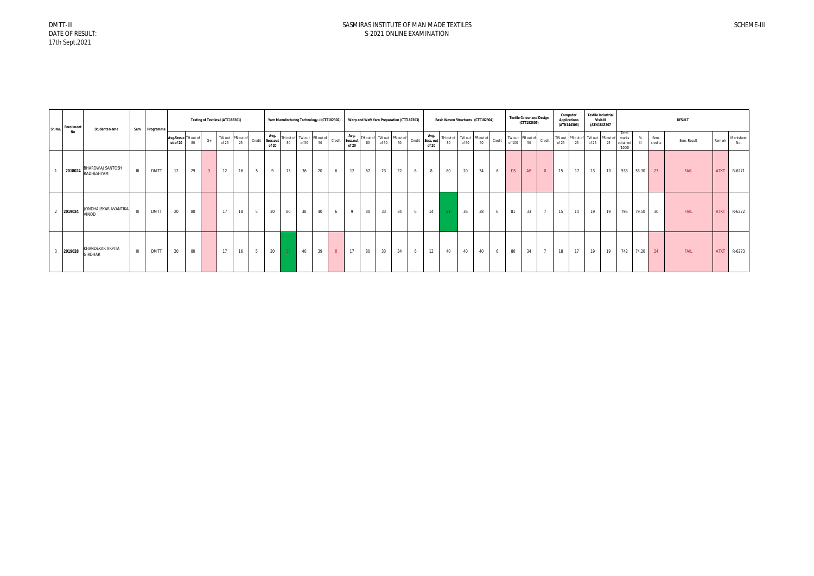| <b>Enrollment</b><br>Sr. No. | <b>Students Name</b>                   |              | Sem Programme |                                  |    | Testing of Textiles-I (ATC183301) |       |                        |   |                                  |    | Yarn Manufacturing Technology -I (CTT182302) |    |                |       |    |       | Warp and Weft Yarn Preparation (CTT182303)        |   |                                  | Basic Woven Structures (CTT182304)                     |       |    |   |           | <b>Textile Colour and Design</b><br>(CTT182305) |                | Computer<br><b>Applications</b> | (ATN144306) | <b>Textile Industrial</b><br>Visit-III<br>(ATN1843307 |    |                                      |                     |                 | <b>RESULT</b> |             |                  |
|------------------------------|----------------------------------------|--------------|---------------|----------------------------------|----|-----------------------------------|-------|------------------------|---|----------------------------------|----|----------------------------------------------|----|----------------|-------|----|-------|---------------------------------------------------|---|----------------------------------|--------------------------------------------------------|-------|----|---|-----------|-------------------------------------------------|----------------|---------------------------------|-------------|-------------------------------------------------------|----|--------------------------------------|---------------------|-----------------|---------------|-------------|------------------|
| No                           |                                        |              |               | Avg.Sess.o TH out of<br>ut of 20 | 80 | $G+$                              | of 25 | TW out PR out of<br>25 |   | Avg.<br>Credit Sess.out<br>of 20 | 80 | TH out of TW out PR out of<br>of 50          | 50 | Credit         | of 20 | 80 | of 50 | Avg.<br>Sess.out TH out of TW out PR out of<br>50 |   | Avg.<br>Credit Sess.out<br>of 20 | TH out of TW out PR out of Credit 1<br>80 <sub>0</sub> | of 50 | 50 |   |           | TW out PR out of Credit                         |                | of 25                           | 25          | TW out PR out of TW out PR out of<br>of 25            | 25 | Total<br>marks<br>obtained<br>(1000) | %<br>$\mathbf{III}$ | Sem.<br>credits | Sem. Result   | Remark      | Marksheet<br>No. |
|                              | 2018024 BHARDWAJ SANTOSH<br>RADHESHYAM | $\mathbf{H}$ | <b>DMTT</b>   | 12                               | 29 | 3 <sup>7</sup>                    | 12    | 16                     | 5 | $\mathbf{Q}$                     | 75 | 36                                           | 20 |                | 12    | 67 | 23    | 22                                                | 6 | 8                                | 80                                                     | 20    | 34 | 6 | <b>DS</b> | AB                                              | $\overline{0}$ | 15                              | 17          | 13                                                    | 10 | 533                                  | 53.30               | 23              | FAIL          | <b>ATKT</b> | R-6271           |
| 2019024<br>$\overline{2}$    | JONDHALEKAR AVANTIKA<br>VINOD          | $\mathbf{H}$ | <b>DMTT</b>   | 20                               | 80 |                                   | 17    | 18                     | 5 | 20                               | 80 | 38                                           | 40 | 6              | -9    | 80 | 33    | 34                                                | 6 | 14                               | 57                                                     | 36    | 38 | 6 | 81        | 33                                              |                | 15                              | 14          | 19                                                    | 19 | 795                                  | 79.50               | 30              | FAIL          | <b>ATKT</b> | R-6272           |
| 2019028<br>$\mathbf{3}$      | KHANDEKAR ARPITA<br><b>GIRDHAR</b>     | $\mathbf{H}$ | <b>DMTT</b>   | 20                               | 80 |                                   | 17    | 16                     | 5 | 20                               | 27 | 40                                           | 39 | $\overline{0}$ | 17    | 80 | 33    | 34                                                | 6 | 12                               | 40                                                     | 40    | 40 | 6 | 80        | 34                                              | $\overline{7}$ | 18                              | 17          | 19                                                    | 19 | 742                                  | 74.20               | 24              | FAIL          | <b>ATKT</b> | R-6273           |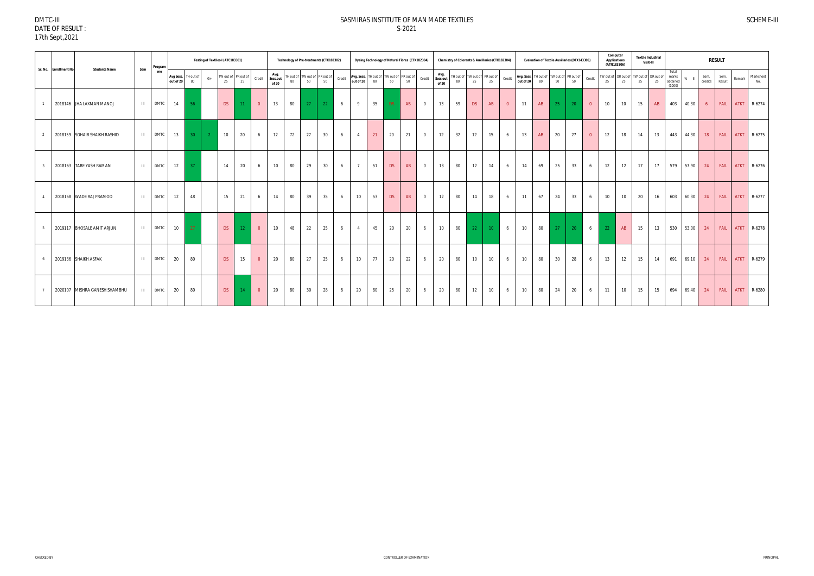#### DMTC-III DATE OF RESULT : 17th Sept,2021

#### SASMIRAS INSTITUTE OF MAN MADE TEXTILES S-2021

| Sr. No. Enrollment No | <b>Students Name</b>          | Sem          | Program     |                        |                 |         | Testing of Textiles-I (ATC183301) |                           |                |                           | Technology of Pre-treatments (CTX182302) |                                     |    |        |                |    |           | Dyeing Technology of Natural Fibres (CTX182304)                    |                |                           | Chemistry of Colorants & Auxillaries (CTX182304) |    |                 |          |                                                   |    |    | <b>Evaluation of Textile Auxillaries (DTX143305)</b> |                | Computer<br><b>Applications</b><br>(ATN183306) |    | <b>Textile Industrial</b><br>Visit-III |    |                             |                |                 | <b>RESULT</b>  |             |                  |
|-----------------------|-------------------------------|--------------|-------------|------------------------|-----------------|---------|-----------------------------------|---------------------------|----------------|---------------------------|------------------------------------------|-------------------------------------|----|--------|----------------|----|-----------|--------------------------------------------------------------------|----------------|---------------------------|--------------------------------------------------|----|-----------------|----------|---------------------------------------------------|----|----|------------------------------------------------------|----------------|------------------------------------------------|----|----------------------------------------|----|-----------------------------|----------------|-----------------|----------------|-------------|------------------|
|                       |                               |              | me          | Avg Sess.<br>out of 20 | FH out of<br>80 | $G_{+}$ | 25                                | TW out of PR out of<br>25 | Credit         | Avg.<br>Sess.out<br>of 20 |                                          | TH out of TW out of PR out of<br>50 | 50 | Credit |                |    |           | <b>Avg. Sess.</b> TH out of TW out of PR out of out of 20 80 50 50 | Credit         | Avg.<br>Sess.out<br>of 20 | TH out of TW out of PR out of<br>80              | 25 | 25              | Credit   | Avg. Sess. TH out of TW out of<br>out of 20 80 50 |    |    | PR out of<br>50                                      | Credit         | TW out of OR out of TW out of OR out of<br>25  | 25 | 25                                     | 25 | marks<br>obtained<br>(1000) | $\blacksquare$ | Sem.<br>credits | Sem.<br>Result | Remark      | Marksheet<br>No. |
|                       | 2018146 JHA LAXMAN MANOJ      | $\mathbf{H}$ | <b>DMTC</b> | 14                     | -56             |         | DS                                | 11                        | $\overline{0}$ | 13                        | 80                                       | 27                                  | 22 | 6      | 9              | 35 | DS.       | AB                                                                 | $\overline{0}$ | 13                        | 59                                               | DS | AB              | $\Omega$ | 11                                                | AB | 25 | 20                                                   | $\overline{0}$ | 10                                             | 10 | 15                                     | AB | 403                         | 40.30          | 6 <sup>6</sup>  | FAIL           | <b>ATKT</b> | R-6274           |
|                       | 2018159 SOHAIB SHAIKH RASHID  | $\mathbf{H}$ | <b>DMTC</b> | 13                     | 30 <sup>°</sup> |         | 10                                | 20                        | 6              | 12                        | 72                                       | 27                                  | 30 | 6      | $\overline{4}$ | 21 | 20        | 21                                                                 | $\overline{0}$ | 12                        | 32                                               | 12 | 15              | 6        | 13                                                | AB | 20 | 27                                                   | $\overline{0}$ | 12                                             | 18 | 14                                     | 13 | 443                         | 44.30          | 18              | FAIL           | <b>ATKT</b> | R-6275           |
|                       | 2018163 TARE YASH RAMAN       | $\mathbf{H}$ | <b>DMTC</b> | 12                     | 37              |         | 14                                | 20                        | 6              | 10                        | 80                                       | 29                                  | 30 | 6      | $7^{\circ}$    | 51 | DS        | AB                                                                 | $\overline{0}$ | 13                        | 80                                               | 12 | 14              | 6        | 14                                                | 69 | 25 | 33                                                   | 6              | 12                                             | 12 | 17                                     | 17 | 579                         | 57.90          | 24              | FAIL           | <b>ATKT</b> | R-6276           |
|                       | 2018168 WADE RAJ PRAMOD       | $\mathbf{H}$ | <b>DMTC</b> | 12                     | 48              |         | 15                                | 21                        | 6              | 14                        | 80                                       | 39                                  | 35 | - 6    | 10             | 53 | <b>DS</b> | AB                                                                 | $\Omega$       | 12                        | 80                                               | 14 | 18              | -6       | 11                                                | 67 | 24 | 33                                                   | 6              | 10                                             | 10 | 20                                     | 16 | 603                         | 60.30          | 24              | FAIL           | <b>ATKT</b> | R-6277           |
|                       | 2019117 BHOSALE AMIT ARJUN    | $\mathbf{H}$ | <b>DMTC</b> | 10                     | 27              |         | <b>DS</b>                         | 12                        | $\overline{0}$ | 10                        | 48                                       | 22                                  | 25 | 6      | $\overline{4}$ | 45 | 20        | 20                                                                 | 6              | 10                        | 80                                               | 22 | 10 <sup>°</sup> | 6        | 10                                                | 80 | 27 | 20                                                   | 6              | 22                                             | AB | 15                                     | 13 | 530                         | 53.00          | 24              | FAIL           | <b>ATKT</b> | R-6278           |
|                       | 2019136 SHAIKH ASFAK          | $\mathbf{H}$ | <b>DMTC</b> | 20                     | 80              |         | DS                                | 15                        | $\Omega$       | 20                        | 80                                       | 27                                  | 25 | 6      | 10             | 77 | 20        | 22                                                                 | -6             | 20                        | 80                                               | 10 | 10              | -6       | 10 <sup>1</sup>                                   | 80 | 30 | 28                                                   |                | 13                                             | 12 | 15                                     | 14 | 691                         | 69.10          | 24              | FAIL           |             | ATKT R-6279      |
|                       | 2020107 MISHRA GANESH SHAMBHU | III          | <b>DMTC</b> | 20                     | 80              |         | DS                                | 14                        | $\overline{0}$ | 20                        | 80                                       | 30                                  | 28 | 6      | 20             | 80 | 25        | 20                                                                 | 6              | 20                        | 80                                               | 12 | 10 <sup>1</sup> | 6        | 10                                                | 80 | 24 | 20                                                   | 6              | 11                                             | 10 | 15                                     | 15 | 694                         | 69.40          | 24              | FAIL           |             | ATKT R-6280      |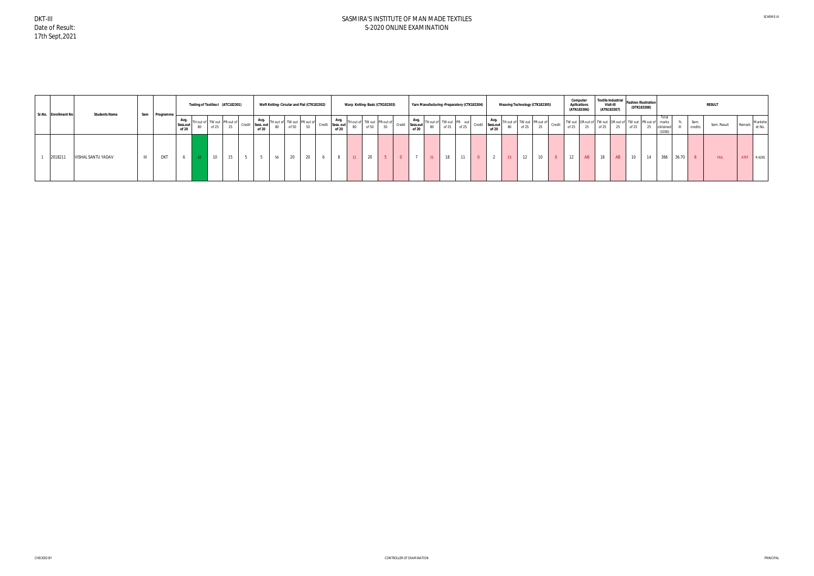| Sr.No. Enrollment No | <b>Students Name</b> |     | Sem Programme |                   | Testing of Textiles-I (ATC182301)                                                                                                                                                        |    |       | Weft Kniting- Circular and Flat (CTK182302)                                                                                                                              |    |       | Warp Kniting-Basic (CTK182303)                       |    |       | Yarn Manufacturing -Preparatory (CTK182304)                                                                                                                       |    |  |       |    | Weaving Technology (CTK182305) |    |          | Computer<br><b>Apllications</b><br>(ATN183306) |    | <b>Textile Industrial</b><br>Visit-III<br>(ATN183307) |    | <b>Fashion Illustration</b><br>(DTK183308)                        |    |                             |       |                 | <b>RESULT</b> |        |                   |
|----------------------|----------------------|-----|---------------|-------------------|------------------------------------------------------------------------------------------------------------------------------------------------------------------------------------------|----|-------|--------------------------------------------------------------------------------------------------------------------------------------------------------------------------|----|-------|------------------------------------------------------|----|-------|-------------------------------------------------------------------------------------------------------------------------------------------------------------------|----|--|-------|----|--------------------------------|----|----------|------------------------------------------------|----|-------------------------------------------------------|----|-------------------------------------------------------------------|----|-----------------------------|-------|-----------------|---------------|--------|-------------------|
|                      |                      |     |               | Sess.out<br>of 20 | ITH out of TW out $\left  \begin{array}{cc} \text{PR out of} \\ \text{or} \end{array} \right $ Credit $\left  \begin{array}{cc} \text{Sess.} \\ \text{out} \end{array} \right $<br>of 25 | 25 | of 20 | $\left  \begin{array}{c} \text{Avg.} \\ \text{TH out of} \end{array} \right $ TH out of TW out $\left  \begin{array}{c} \text{PR out of} \end{array} \right $<br>of $50$ | 50 | of 20 | Credit Sess. out TH out of TW out PR out of<br>of 50 | 50 | of 20 | Credit Sessiont Thout of TW out PR out Credit Session Thout of TW out PR out of Credit Credit Credit Session Thout of TW out PR out of Credit Credit Credit of 25 |    |  | of 20 |    |                                |    |          | of 25                                          |    | of 25                                                 | 25 | TW out OR out of TW out OR out of TW out PR out of marks<br>of 25 | 25 | Total<br>obtained<br>(1000) |       | Sem.<br>credits | Sem. Result   | Remark | Markshe<br>et No. |
| 2018211              | VISHAL SANTU YADAV   | III | <b>DKT</b>    |                   | 10                                                                                                                                                                                       | 15 |       | 20                                                                                                                                                                       | 20 |       |                                                      |    |       | 21                                                                                                                                                                | 18 |  |       | 23 | 12                             | 10 | $\Omega$ | $\sim$                                         | AB | 18                                                    | AB | 10 <sup>°</sup>                                                   |    | 366                         | 36.70 | - 6             | FAIL          |        | ATKT R-6281       |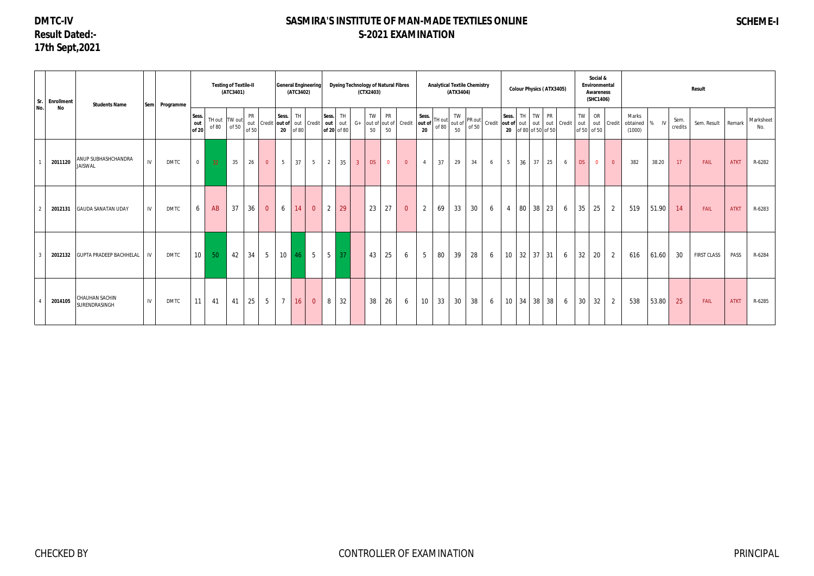# **DMTC-IV Result Dated:- 17th Sept,2021**

# **SASMIRA'S INSTITUTE OF MAN-MADE TEXTILES ONLINE S-2021 EXAMINATION**

# **SCHEME-I**

| $ $ Sr. $ $ | <b>Enrollment</b> | <b>Students Name</b>                        | Sem Programme |                       |       | <b>Testing of Textile-II</b><br>(ATC3401) |                    |                 |                | (ATC3402)         | <b>General Engineering</b>       |                      |           | (CTX2403)      | <b>Dyeing Technology of Natural Fibres</b>          |                |                                |    | <b>Analytical Textile Chemistry</b><br>(ATX3404)                                            |    |                                      |                               |    |                      | <b>Colour Physics (ATX3405)</b> |   |                            | Social &<br>Environmental<br><b>Awareness</b><br>(SHC1406) |                 |               |                 | Result             |             |                  |
|-------------|-------------------|---------------------------------------------|---------------|-----------------------|-------|-------------------------------------------|--------------------|-----------------|----------------|-------------------|----------------------------------|----------------------|-----------|----------------|-----------------------------------------------------|----------------|--------------------------------|----|---------------------------------------------------------------------------------------------|----|--------------------------------------|-------------------------------|----|----------------------|---------------------------------|---|----------------------------|------------------------------------------------------------|-----------------|---------------|-----------------|--------------------|-------------|------------------|
| No.         | No                |                                             |               | Sess.<br>out<br>of 20 | of 80 | TH out TW out<br>of 50                    | <b>PR</b><br>of 50 |                 | Sess.          | TH.<br>$20$ of 80 | out Credit out of out Credit out | Sess.<br>of 20 of 80 | TH<br>out | $G+$           | TW<br><b>PR</b><br>out of out of Credit<br>50<br>50 |                | Sess.<br>out of<br>$20\degree$ |    | TW<br>$\left[\begin{array}{c c}\nTH\,out \\ of\,80\n\end{array}\right]$ out of PR out<br>50 |    | Credit out of out out out out Credit | Sess.<br>20 of 80 of 50 of 50 |    | TH TW PR             |                                 |   | TW<br>out  <br>of 50 of 50 | OR<br>out Credit                                           | Marks<br>(1000) | obtained % IV | Sem.<br>credits | Sem. Result        | Remark      | Marksheet<br>No. |
|             | 2011120           | ANUP SUBHASHCHANDRA<br>IV<br><b>JAISWAL</b> | <b>DMTC</b>   | $\overline{0}$        | 32    | 35                                        | 26                 | $\overline{0}$  | 5 <sub>5</sub> | 37                | 5 <sup>5</sup>                   | $\overline{2}$       | 35        | 3 <sup>°</sup> | <b>DS</b><br>$\overline{0}$                         | $\overline{0}$ | $\overline{4}$                 | 37 | 29                                                                                          | 34 | 6                                    | $5\overline{)}$               | 36 | 37                   | 25                              | 6 | DS                         | $\overline{0}$<br>$\overline{0}$                           | 382             | 38.20         | 17              | FAIL               | <b>ATKT</b> | R-6282           |
|             | 2012131           | <b>GAUDA SANATAN UDAY</b><br>IV             | <b>DMTC</b>   | 6                     | AB    | 37                                        | 36                 | $\overline{0}$  | 6              | 14                | $\overline{0}$                   | $\overline{2}$       | 29        |                | 23<br>27                                            | $\overline{0}$ | $\overline{2}$                 | 69 | 33                                                                                          | 30 | 6                                    | $\overline{4}$                |    | 80 38                | 23                              | 6 | 35                         | $\overline{2}$<br>25                                       | 519             | 51.90         | 14              | FAIL               | <b>ATKT</b> | R-6283           |
|             | 2012132           | <b>GUPTA PRADEEP BACHHELAL</b><br>IV        | <b>DMTC</b>   | 10 <sup>1</sup>       | 50    | 42                                        | 34                 | $5\overline{)}$ | 10             | 46                | $5\overline{)}$                  | $5\overline{)}$      | 37        |                | 25<br>43                                            | 6              | $5\phantom{.0}$                | 80 | 39                                                                                          | 28 | 6                                    | 10 <sup>°</sup>               |    | $32 \mid 37$         | 31                              | 6 | 32                         | 20<br>2                                                    | 616             | 61.60         | 30              | <b>FIRST CLASS</b> | PASS        | R-6284           |
|             | 2014105           | CHAUHAN SACHIN<br>IV<br>SURENDRASINGH       | <b>DMTC</b>   | 11                    | 41    | 41                                        | 25                 | $5\overline{)}$ | 7              | 16                | $\overline{0}$                   | 8                    | 32        |                | 38<br>26                                            | 6              | 10                             |    | 33<br>30                                                                                    | 38 | 6                                    | 10                            |    | $34 \mid 38 \mid 38$ |                                 | 6 | 30                         | 32<br>$\overline{2}$                                       | 538             | 53.80         | 25              | FAIL               | <b>ATKT</b> | R-6285           |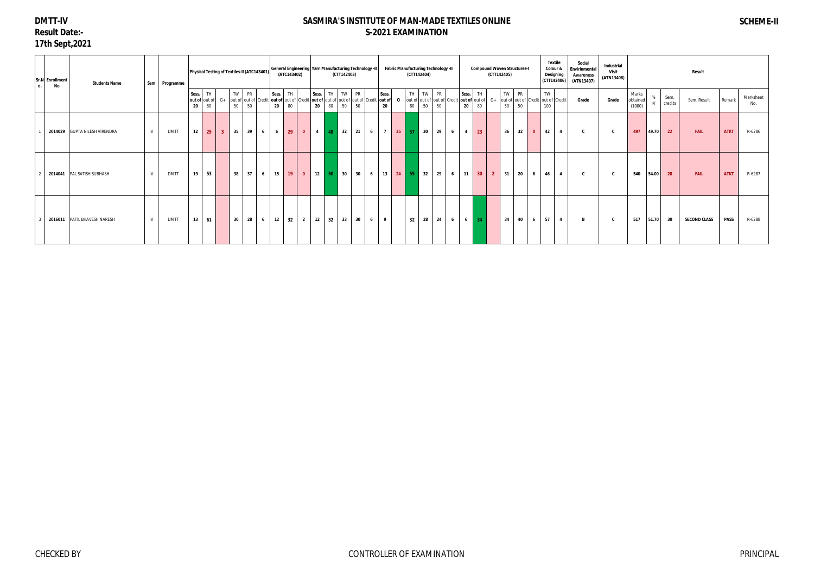# **DMTT-IV Result Date:- 17th Sept,2021**

| 0. | Sr.N Enrollment<br>No | <b>Students Name</b>          |    | Sem Programme |               |                                  |                |            |                 |   |             | (ATC143402)      |                         |             |         | Physical Testing of Textiles-II (ATC143401) General Engineering Yarn Manufacturing Technology -II<br>(CTT142403) |                 |   |             |              |          | (CTT142404) | <b>Fabric Manufacturing Technology -II</b> |                |                                                                      |              | <b>Compound Woven Structures-I</b><br>(CTT142405) |             |              |              |           | Textile<br>Colour &<br>Designing<br>(CTT142406) | Social<br>Envirinmental<br><b>Awareness</b><br>(ATN13407) | Industrial<br>Visit<br>(ATN13408) |                             |              |                 | <b>Result</b>       |             |                  |
|----|-----------------------|-------------------------------|----|---------------|---------------|----------------------------------|----------------|------------|-----------------|---|-------------|------------------|-------------------------|-------------|---------|------------------------------------------------------------------------------------------------------------------|-----------------|---|-------------|--------------|----------|-------------|--------------------------------------------|----------------|----------------------------------------------------------------------|--------------|---------------------------------------------------|-------------|--------------|--------------|-----------|-------------------------------------------------|-----------------------------------------------------------|-----------------------------------|-----------------------------|--------------|-----------------|---------------------|-------------|------------------|
|    |                       |                               |    |               | Sess.<br>- 20 | <b>TH</b><br>out of out of<br>80 |                | TW  <br>50 | <b>PR</b><br>50 |   | Sess.<br>20 | <b>TH</b><br>80  |                         | Sess.<br>20 | 80      | TW<br>$G_{+}$ out of out of Credit out of out of Credit out of out of out of out of out of Credit out of<br>50   | <b>PR</b><br>50 |   | Sess.<br>20 | $\mathbf{o}$ | TH<br>80 | 50          | TW PR<br>out of out of out of Credit<br>50 |                | Sess.<br>out of out of $G+$ out of out of Credit out of Credit<br>20 | TH<br>80     |                                                   | TW PR<br>50 | 50           |              | TW<br>100 |                                                 | Grade                                                     | Grade                             | Marks<br>obtained<br>(1000) | $\mathsf{N}$ | Sem.<br>credits | Sem. Result         | Remark      | Marksheet<br>No. |
|    |                       | 2014029 GUPTA NILESH VIRENDRA | IV | <b>DMTT</b>   | 12            | 29                               | 3 <sup>1</sup> | 35         | 39              | 6 |             | $6 \mid 29 \mid$ | $\bullet$               |             | 4 48 32 |                                                                                                                  | 21              | 6 |             | $7$ 25 57    |          | 30          | 29                                         | 6 <sup>1</sup> | $\overline{4}$                                                       | 23           |                                                   | 36          | 32           | $\mathbf{0}$ | 42        | 4                                               | C                                                         | C.                                | 497                         | 49.70        | 22              | <b>FAIL</b>         | <b>ATKT</b> | R-6286           |
|    |                       | 2014041 PAL SATISH SUBHASH    | IV | <b>DMTT</b>   | 19            | 53                               |                | 38         | 37              | 6 | 15          | 19               | $\overline{\mathbf{0}}$ | 12          | 50 30   |                                                                                                                  | 30              | 6 |             | 13 24 55     |          | 32          | 29                                         | 6              | 11                                                                   | $ 30\rangle$ | $\overline{2}$                                    | 31          | $ 20\rangle$ | 6            | 46        |                                                 | $\mathbf{c}$                                              |                                   | 540                         | 54.00        | 28              | <b>FAIL</b>         | <b>ATKT</b> | R-6287           |
|    |                       | 2016011 PATIL BHAVESH NARESH  | IV | <b>DMTT</b>   | 13            | 61                               |                | 30         | 28              | 6 | 12          | 32               | $\overline{2}$          | 12          | 32      | 33                                                                                                               | 30              | 6 | 9           |              | 32       | 28          | 24                                         | 6 <sup>1</sup> | $6 \mid 34$                                                          |              |                                                   | 34          | 40           | 6            | 57        |                                                 |                                                           |                                   | 517                         | 51.70        | 30              | <b>SECOND CLASS</b> | <b>PASS</b> | R-6288           |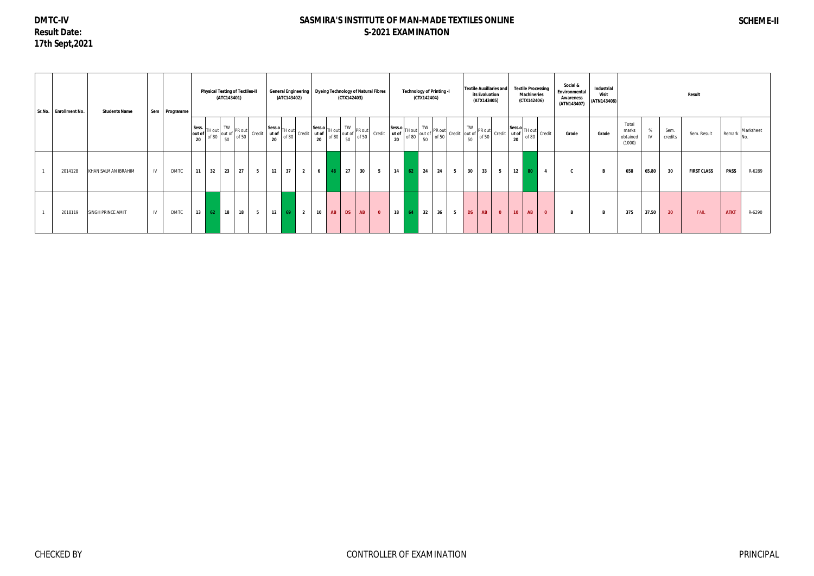**DMTC-IV Result Date: 17th Sept,2021**

## **SASMIRA'S INSTITUTE OF MAN-MADE TEXTILES ONLINE S-2021 EXAMINATION**

## **SCHEME-II**

| Sr.No. Enrollment No. | <b>Students Name</b> |    | Sem Programme |                       | <b>Physical Testing of Textiles-II</b> | (ATC143401) |                                                                           |        | <b>General Engineering</b> | (ATC143402) |                |                 |                                                                                                                                                                                                                                                                                                                                        | (CTX142403) |           | <b>Dyeing Technology of Natural Fibres</b> |    |                                                                                                                                                | (CTX142404) | <b>Technology of Printing -I</b> |   |           | its Evaluation<br>(ATX143405) | <b>Textile Auxillaries and</b>                                                                                                                                                                                                                                                                                                     |                 | <b>Textile Processing</b><br><b>Machineries</b><br>(CTX142406) |                | Social &<br>Environmental<br><b>Awareness</b><br>(ATN143407) | Industrial<br><b>Visit</b><br>(ATN143408) |                                      |       |                 | <b>Result</b>      |             |           |
|-----------------------|----------------------|----|---------------|-----------------------|----------------------------------------|-------------|---------------------------------------------------------------------------|--------|----------------------------|-------------|----------------|-----------------|----------------------------------------------------------------------------------------------------------------------------------------------------------------------------------------------------------------------------------------------------------------------------------------------------------------------------------------|-------------|-----------|--------------------------------------------|----|------------------------------------------------------------------------------------------------------------------------------------------------|-------------|----------------------------------|---|-----------|-------------------------------|------------------------------------------------------------------------------------------------------------------------------------------------------------------------------------------------------------------------------------------------------------------------------------------------------------------------------------|-----------------|----------------------------------------------------------------|----------------|--------------------------------------------------------------|-------------------------------------------|--------------------------------------|-------|-----------------|--------------------|-------------|-----------|
|                       |                      |    |               | Sess.<br>out of<br>20 | TH out<br>of 80                        | TW          | PR out<br>out of $\begin{bmatrix} 1 & 1 & 0 \\ 0 & 50 & 50 \end{bmatrix}$ | Credit |                            |             |                |                 | Sess.o TH out of $\begin{bmatrix} 1 & 1 & 1 & 1 \\ 1 & 1 & 1 & 1 \\ 1 & 1 & 1 & 1 \\ 1 & 1 & 1 & 1 \\ 1 & 1 & 1 & 1 \end{bmatrix}$ Credit $\begin{bmatrix} 1 & 1 & 1 & 1 \\ 1 & 1 & 1 & 1 \\ 1 & 1 & 1 & 1 \\ 1 & 1 & 1 & 1 \\ 1 & 1 & 1 & 1 \end{bmatrix}$ of 50 $\begin{bmatrix} 1 & 1 & 1 & 1 \\ 1 & 1 & 1 & 1 \\ 1 & 1 & 1 & 1 \\$ |             |           | Credit                                     |    | $\begin{array}{c} \n\text{Sess.o} \\ \text{ut of} \\ \text{20} \\ \end{array} \begin{bmatrix} \n\text{TH out} \\ \text{of } 80\n\end{bmatrix}$ |             |                                  |   |           |                               | $\begin{bmatrix} W \\ V \\ V \\ V \\ 50 \end{bmatrix}$ PR out $\begin{bmatrix} \nabla W \\ \nabla P \\ \nabla V \\ \nabla V \\ 50 \end{bmatrix}$ PR out $\begin{bmatrix} \nabla W \\ \nabla P \\ \nabla V \\ 50 \end{bmatrix}$ Credit $\begin{bmatrix} \n\text{Sess.}\n\text{or} \\ \n\text{at of } T \\ 2\text{or} \end{bmatrix}$ | Sess.o TH out   | of 80                                                          | Credit         | Grade                                                        | Grade                                     | Total<br>marks<br>obtained<br>(1000) |       | Sem.<br>credits | Sem. Result        | Remark      | Marksheet |
| 2014128               | KHAN SALMAN IBRAHIM  | IV | <b>DMTC</b>   | 11                    | 32                                     | 23          | 27                                                                        | 5      | 12                         | 37          | $\overline{2}$ | 6               | 48                                                                                                                                                                                                                                                                                                                                     | 27          | 30        | 5                                          | 14 | 62                                                                                                                                             | 24          | 24                               | 5 | 30        | 33                            | 5                                                                                                                                                                                                                                                                                                                                  | $12 \quad 80$   |                                                                | $\overline{4}$ |                                                              |                                           | 658                                  | 65.80 | 30              | <b>FIRST CLASS</b> | <b>PASS</b> | R-6289    |
| 2018119               | SINGH PRINCE AMIT    | IV | <b>DMTC</b>   | 13                    | 62                                     | 18          | 18                                                                        | 5      | 12                         | 69          | $\overline{2}$ | 10 <sub>1</sub> | AB                                                                                                                                                                                                                                                                                                                                     | <b>DS</b>   | <b>AB</b> | $\overline{0}$                             | 18 | -64                                                                                                                                            | 32          | 36                               | 5 | <b>DS</b> | <b>AB</b>                     | $\overline{\mathbf{0}}$                                                                                                                                                                                                                                                                                                            | 10 <sub>1</sub> | AB                                                             | $\overline{0}$ |                                                              |                                           | 375                                  | 37.50 | 20              | FAIL               | <b>ATKT</b> | R-6290    |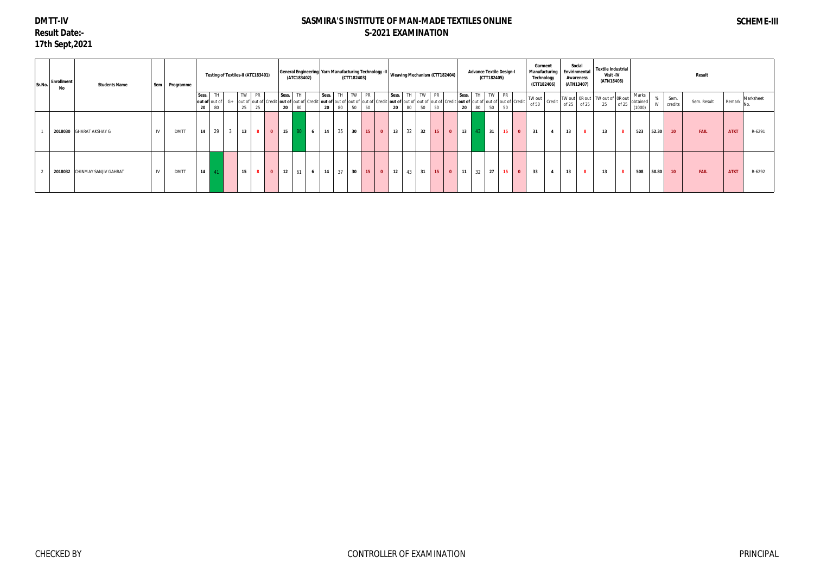# **DMTT-IV Result Date:- 17th Sept,2021**

| Sr.No. | <b>Enrollment</b><br>No | <b>Students Name</b>          | Sem | Programme   |                 |                         |                |                 | Testing of Textiles-II (ATC183401)              |                    | (ATC183402) |                |             |          | (CTT182403) |                               | General Engineering   Yarn Manufacturing Technology -II   Weaving Mechanism (CTT182404)                                                                                                 |                 |                         |             |    | <b>Advance Textile Design-I</b><br>(CTT182405) |    |              | Garment<br>Manufacturing<br>Technology<br>(CTT182406) |    | Social<br><b>Envirinmental</b><br>Awareness<br>(ATN13407) | <b>Textile Industrial</b><br>Visit -IV<br>(ATN18408) |                |                             |         |                 | Result      |             |                  |
|--------|-------------------------|-------------------------------|-----|-------------|-----------------|-------------------------|----------------|-----------------|-------------------------------------------------|--------------------|-------------|----------------|-------------|----------|-------------|-------------------------------|-----------------------------------------------------------------------------------------------------------------------------------------------------------------------------------------|-----------------|-------------------------|-------------|----|------------------------------------------------|----|--------------|-------------------------------------------------------|----|-----------------------------------------------------------|------------------------------------------------------|----------------|-----------------------------|---------|-----------------|-------------|-------------|------------------|
|        |                         |                               |     |             | Sess.<br>out of | TH<br>out of $G+$<br>80 |                | TW PR<br>25     | out of out of Credit out of out of Credit<br>25 | Sess.<br>20        | TH<br>80    |                | Sess.<br>20 | TH<br>80 | TW PR<br>50 | 50                            | TW<br>TH<br>Sess.<br>t <b> out of  </b> out of  out of  out of  Credit   <b>out of</b>  out of  out of  out of  Credit   <b>out of</b>  out of  out of  out of  Credi<br>20<br>80<br>50 | <b>PR</b><br>50 |                         | Sess.<br>20 | 80 | TH TW PR<br>50                                 | 50 |              | $\sim$ $\frac{1}{2}$ TW out credit $1$<br>of 50       |    | of 25 of 25                                               | TW out   0R out   TW out of   0R out<br>25           | of 25          | Marks<br>obtained<br>(1000) | %<br>IV | Sem.<br>credits | Sem. Result |             | Remark Marksheet |
|        |                         | 2018030 GHARAT AKSHAY G       | IV  | <b>DMTT</b> | 14              | 29                      | $\overline{3}$ | 13              | $\overline{\mathbf{8}}$                         | 15<br>$\mathbf{0}$ | 80          | 6 <sup>6</sup> | 14          | 35       | 30          | 15<br>$\overline{\mathbf{0}}$ | 32<br>32<br>13                                                                                                                                                                          | 15              | $\overline{\mathbf{0}}$ | 13          | 43 | 31                                             | 15 | $\mathbf{0}$ | 31<br>$\overline{4}$                                  | 13 |                                                           | 13                                                   | 8 <sup>1</sup> | 523                         | 52.30   | 10              | <b>FAIL</b> | <b>ATKT</b> | R-6291           |
|        |                         | 2018032 CHINMAY SANJIV GAHRAT | IV  | <b>DMTT</b> | 14              |                         |                | 15 <sup>1</sup> | 8                                               | $\mathbf{0}$<br>12 | 61          | 6 <sup>1</sup> | 14          | 37       | 30          | 15<br>$\bullet$               | 43<br>31<br>12                                                                                                                                                                          | 15              | $\overline{\mathbf{0}}$ | 11          | 32 | 27                                             | 15 | $\mathbf{0}$ | 33                                                    | 13 |                                                           | 13                                                   | 8 <sup>1</sup> | 508                         | 50.80   | 10              | <b>FAIL</b> | <b>ATKT</b> | R-6292           |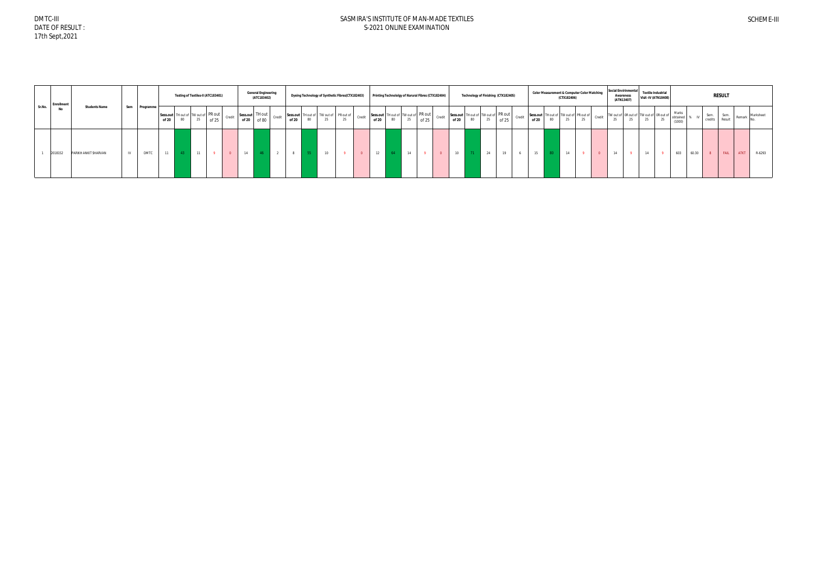DMTC-III DATE OF RESULT : 17th Sept,2021

|        | <b>Enrollment</b> |                      |     |             |       | Testing of Textiles-II (ATC183401)        |      |       |        | <b>General Engineering</b><br>(ATC183402) |                                       |       |    | Dyeing Technology of Synthetic Fibres(CTX182403) |        | Printing Technololgy of Narural Fibres (CTX182404) |    |    |       |       |                                                                                                                                                              |    | Technology of Finishing (CTX182405) | <b>Color Measurement &amp; Computer Color Matching</b>   | (CTX182406) |  |    | <b>Social Envirinmental</b><br><b>Awareness</b><br>(ATN13407)              | <b>Textile Industrial</b> | <b>Visit -IV (ATN18408)</b> |                                  |       |                 | <b>RESULT</b>  |             |           |
|--------|-------------------|----------------------|-----|-------------|-------|-------------------------------------------|------|-------|--------|-------------------------------------------|---------------------------------------|-------|----|--------------------------------------------------|--------|----------------------------------------------------|----|----|-------|-------|--------------------------------------------------------------------------------------------------------------------------------------------------------------|----|-------------------------------------|----------------------------------------------------------|-------------|--|----|----------------------------------------------------------------------------|---------------------------|-----------------------------|----------------------------------|-------|-----------------|----------------|-------------|-----------|
| Sr.No. | No                | <b>Students Name</b> | Sem | Programme   | of 20 | Sess.out TH out of TW out of PR out<br>80 | - 20 | of 25 | Credit |                                           | Sess.out TH out<br>of 20 of 80 Credit | of 20 | 25 | Sess.out TH out of TW out of PR out of<br>25     | Credit | of 20                                              | 80 | 25 | of 25 | of 20 | Sess.out TH out of TW out of PR out credit Sess.out TH out of PR out $\left  \begin{array}{cc} \text{Sess.out} \\ \text{Sess.out} \end{array} \right $<br>80 | 25 | Credit<br>of 25                     | Sess.out TH out of TW out of PR out of<br>of 20 80 25 25 |             |  | 25 | Credit TW out of OR out of TW out of OR out of Credit $\frac{1}{25}$<br>25 | - 40                      | 25                          | Marks<br>obtained % IV<br>(1000) |       | Sem.<br>credits | Sem.<br>Result | Remark      | Marksheet |
|        | 2018152           | PARIKH ANKIT SHARVAN |     | <b>DMTC</b> | 11    |                                           |      |       |        |                                           |                                       |       |    |                                                  |        |                                                    |    |    |       |       |                                                                                                                                                              | 24 |                                     |                                                          | 14          |  |    |                                                                            |                           |                             | 603                              | 60.30 |                 | <b>FAIL</b>    | <b>ATKT</b> | R-6293    |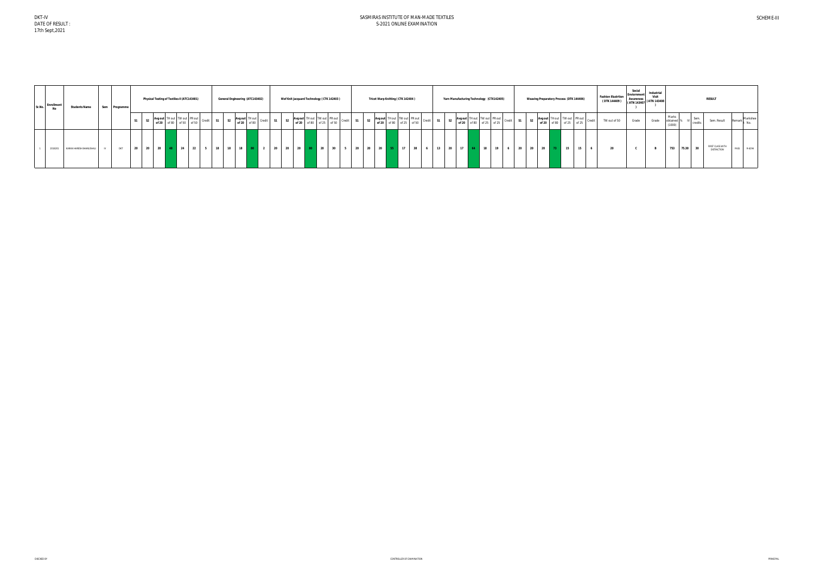| Sr.No. Enrollment | <b>Students Name</b>    | Sem Programme |           | Physical Testing of Textiles-II (ATC143401) |  |    |                                        |           | General Engineering (ATC143402) |                                      |    |                | Wef Knit Jacquard Technology (CTK 142403)               |    |  |          | Tricot Warp Knitting (CTK 142404) |                                                                                                                                                                                                                                                             | Yarn Manufacturing Technology (CTX142405) |                 |                   |                                                         |           |  |             | <b>Weaving Preparatory Process (DTK 144406)</b>            |        | <b>Fashion Illustrtion</b><br>(DTK 144409) | Social<br>Enviornmer<br><b>Awareness</b><br>$\cdots$ (ATN 143407 (ATN 143408) | Industria<br>Visit |                 |            |                | <b>RESULT</b>                          |             |
|-------------------|-------------------------|---------------|-----------|---------------------------------------------|--|----|----------------------------------------|-----------|---------------------------------|--------------------------------------|----|----------------|---------------------------------------------------------|----|--|----------|-----------------------------------|-------------------------------------------------------------------------------------------------------------------------------------------------------------------------------------------------------------------------------------------------------------|-------------------------------------------|-----------------|-------------------|---------------------------------------------------------|-----------|--|-------------|------------------------------------------------------------|--------|--------------------------------------------|-------------------------------------------------------------------------------|--------------------|-----------------|------------|----------------|----------------------------------------|-------------|
|                   |                         |               | <b>S1</b> |                                             |  |    | Avg out TH out TW out PR out Credit 51 | <b>S2</b> |                                 | Avg out TH out<br>of 20 of 80 Credit | S1 | S <sub>2</sub> | Avg out TH out TW out PR out<br>of 20 of 80 of 25 of 50 |    |  |          |                                   | S2 $\begin{array}{ c c c c c c c c } \hline \text{Avg out} & \text{TH out} & \text{TW out} & \text{PR out} & \text{Credit} & \text{S1} \ \hline \text{of 20} & \text{of 80} & \text{of 25} & \text{of 50} & \text{Credit} & \text{S1} \ \hline \end{array}$ | <b>S2</b>                                 |                 |                   | Avg out TH out TW out PR out<br>of 20 of 80 of 25 of 25 | Credit S1 |  |             | S2 Avg out TH out TW out PR out<br>of 20 of 80 of 25 of 25 | Credit | TW out of 50                               | Grade                                                                         | Grade              | Marks<br>(1000) | obtained % | Sem<br>credit: | Sem. Result                            | Markshee    |
| 2018201           | KARAN HARESH BHANUSHALI | <b>DKT</b>    | 20        | 20 20 48 24                                 |  | 22 |                                        | 18        | 18<br>18                        |                                      |    |                |                                                         | 30 |  | 20<br>20 | 17                                |                                                                                                                                                                                                                                                             | 20                                        | 17 <sup>1</sup> | $\blacksquare$ 18 | 19                                                      |           |  | 20 20 20 73 | $\blacksquare$ 15<br>15                                    |        |                                            |                                                                               |                    |                 | 753        | 75.30 30       | FIRST CLASS WITH<br><b>DISTINCTION</b> | PASS R-6294 |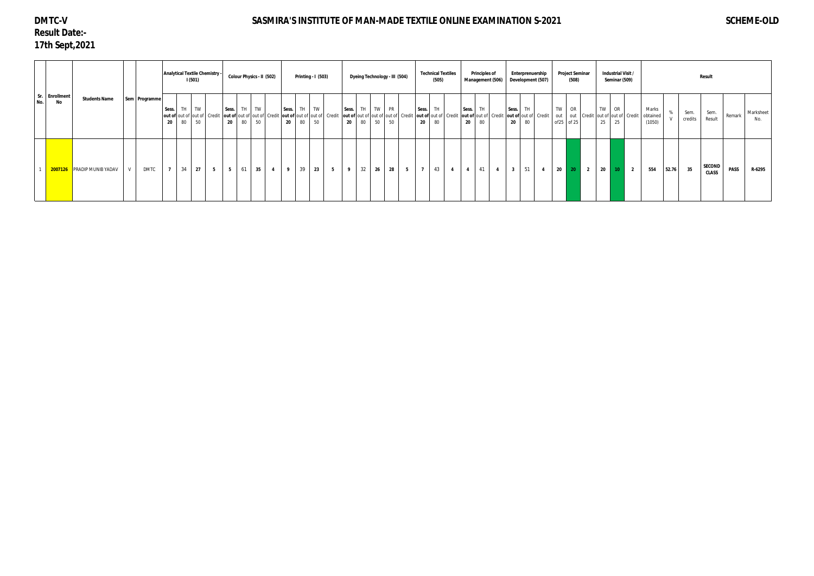# **DMTC-V Result Date:- 17th Sept,2021**

# SASMIRA'S INSTITUTE OF MAN-MADE TEXTILE ONLINE EXAMINATION S-2021 SCHEME-OLD

|       |                      |                                   |               |               |                |          | 1(501)   | Analytical Textile Chemistry -                                                            |                | Colour Physics - II (502) |    |                |             |             | Printing - I (503) |   |             |                 |             | Dyeing Technology - III (504)            |                |                | <b>Technical Textiles</b><br>(505) |                                  | <b>Principles of</b> | Management (506) |                                                            | Enterprenuership | Development (507) |                         | Project Seminar<br>(508) |                |          | Industrial Visit /<br>Seminar (509)         |                |                             |       |                 | Result                        |             |                  |
|-------|----------------------|-----------------------------------|---------------|---------------|----------------|----------|----------|-------------------------------------------------------------------------------------------|----------------|---------------------------|----|----------------|-------------|-------------|--------------------|---|-------------|-----------------|-------------|------------------------------------------|----------------|----------------|------------------------------------|----------------------------------|----------------------|------------------|------------------------------------------------------------|------------------|-------------------|-------------------------|--------------------------|----------------|----------|---------------------------------------------|----------------|-----------------------------|-------|-----------------|-------------------------------|-------------|------------------|
| No. I | Sr. Enrollment<br>No | <b>Students Name</b>              |               | Sem Programme | Sess.<br>-20   | TH<br>80 | TW<br>50 | out of out of out of Credit   out of out of out of Credit   out of out of out of   Credit | Sess.<br>20    | TH TW<br>80               | 50 |                | Sess.<br>20 | TH TW<br>80 | 50                 |   | Sess.<br>20 | <b>TH</b><br>80 | TW PR<br>50 | out of out of out of out of Credit<br>50 |                | Sess.<br>20    | TH.<br>out of out of Credit<br>80  | Sess.<br>20                      | TH.<br>80            |                  | Sess.<br>out of out of Credit   out of out of Credit<br>20 | <b>TH</b><br>80  |                   | TW<br>out<br>of25 of 25 | <b>OR</b>                |                | TW<br>25 | OR<br>out Credit out of out of Credit<br>25 |                | Marks<br>obtained<br>(1050) |       | Sem.<br>credits | Sem.<br>Result                | Remark      | Marksheet<br>No. |
|       |                      | <b>2007126</b> PRADIP MUNIB YADAV | $\mathcal{U}$ | <b>DMTC</b>   | $\overline{7}$ | 34       | 27       | 5 <sub>5</sub>                                                                            | 5 <sub>5</sub> | 61                        | 35 | $\overline{4}$ | 9           | 39          | 23                 | 5 | 9           | 32              | 26          | 28                                       | 5 <sub>5</sub> | $\overline{7}$ | 43                                 | $\overline{4}$<br>$\overline{4}$ | 41                   | $\overline{4}$   | $\overline{\phantom{a}}$ 3                                 | 51               | - 4               | 20                      | 20 <sub>1</sub>          | $\overline{2}$ | 20       | 10 <sub>1</sub>                             | $\overline{2}$ | 554                         | 52.76 | 35              | <b>SECOND</b><br><b>CLASS</b> | <b>PASS</b> | R-6295           |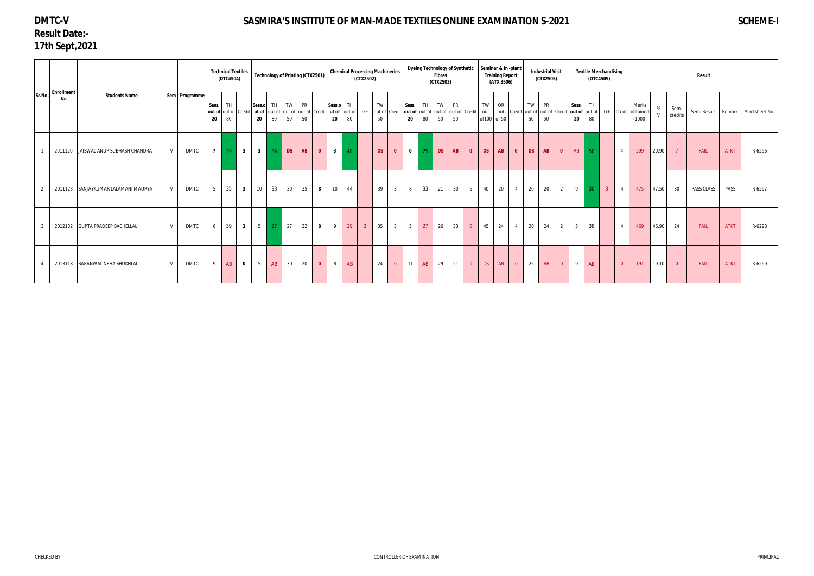# **DMTC-V Result Date:- 17th Sept,2021**

# **SASMIRA'S INSTITUTE OF MAN-MADE TEXTILES ONLINE EXAMINATION S-2021 SCHEME-I**

|        |                                                 |               |               |                | <b>Technical Textiles</b><br>(DTC4504) |                         | <b>Technology of Printing (CTX2501)</b>     |           |                            |          |                |                 | <b>Chemical Processing Machineries</b> | (CTX2502)      |           |                         |                                                                              |          | <b>Fibres</b><br>(CTX2503) |          |                         | Dyeing Technology of Synthetic   Seminar & In -plant | <b>Training Report</b><br>(ATX 3506) |                                 |          | <b>Industrial Visit</b><br>(CTX2505) |                |                |          | <b>Textile Merchandising</b><br>(DTC4509) |                |                                                              |           |                 | Result     |             |                                      |
|--------|-------------------------------------------------|---------------|---------------|----------------|----------------------------------------|-------------------------|---------------------------------------------|-----------|----------------------------|----------|----------------|-----------------|----------------------------------------|----------------|-----------|-------------------------|------------------------------------------------------------------------------|----------|----------------------------|----------|-------------------------|------------------------------------------------------|--------------------------------------|---------------------------------|----------|--------------------------------------|----------------|----------------|----------|-------------------------------------------|----------------|--------------------------------------------------------------|-----------|-----------------|------------|-------------|--------------------------------------|
| Sr.No. | <b>Enrollment</b><br><b>Students Name</b><br>No |               | Sem Programme | Sess.<br>20    | TH<br>out of out of Credit<br>80       |                         | TH<br>Sess.o<br>ut of<br>out of<br>80<br>20 | <b>TW</b> | out of out of Credit<br>50 | PR<br>50 |                | Sess.o TH<br>20 | ut of out of<br>80                     |                | TW<br>50  |                         | Sess.<br>$G_+$ out of Credit out of out of out of out of out of Credit<br>20 | TH<br>80 | <b>TW</b><br>50            | PR<br>50 |                         | TW<br>out<br>of 100 of 50                            | <b>OR</b>                            | out Credit out of out of Credit | TW<br>50 | <b>PR</b><br>50                      |                | Sess.<br>20    | TH<br>80 |                                           |                | Marks<br>t <b>out of</b> out of G+ Credit obtained<br>(1000) | $\%$      | Sem.<br>credits |            |             | Sem. Result   Remark   Marksheet No. |
|        | 2011120 JAISWAL ANUP SUBHASH CHANDRA            |               | <b>DMTC</b>   |                | $7 \mid 39 \mid$                       |                         | $\overline{\mathbf{3}}$                     | 34        | <b>DS</b>                  | AB       | $\overline{0}$ | $3^{\circ}$     | 48                                     |                | <b>DS</b> | $\overline{\mathbf{0}}$ | $\mathbf{0}$                                                                 | 25       | <b>DS</b>                  | AB       | $\bullet$               | <b>DS</b>                                            | AB                                   | $\bullet$                       | DS       | AB                                   | $\bullet$      | AB             | 50       |                                           | $\overline{4}$ | 209                                                          | $20.90$ 7 |                 | FAIL       | <b>ATKT</b> | R-6296                               |
|        | 2011123 SANJAYKUMAR LALAMANI MAURYA             |               | <b>DMTC</b>   | 5 <sup>1</sup> | 35                                     | $\overline{\mathbf{3}}$ | 10                                          | 33        | $1 \t30^{-1}$              | 35       | 8              | 10              | 44                                     |                | 39        | $1 \quad 3 \quad 1$     | 8 <sup>8</sup>                                                               | 33       | 21                         | 30       | 6                       | 40                                                   | 20                                   | $\overline{4}$                  | 20       | 20                                   | $\overline{2}$ | $9 \mid 30$    |          | $\vert$ 3                                 | 4              | 475                                                          | 47.50     | 30              | PASS CLASS | PASS        | R-6297                               |
|        | 2012132 GUPTA PRADEEP BACHELLAL                 | $\mathcal{M}$ | <b>DMTC</b>   | 6              | 39                                     | $\overline{\mathbf{3}}$ | 5 <sup>5</sup>                              | 37        | 27                         | 32       | 8              | 9               | 29                                     | 3 <sup>7</sup> | 35        | $\overline{\mathbf{3}}$ | $5\overline{)}$                                                              | 27       | 26                         | 33       | $\overline{0}$          | 45                                                   | 24                                   | $\overline{4}$                  | 20       | 24                                   | $\overline{2}$ | 5              | 38       |                                           | $\overline{4}$ | 469                                                          | 46.90     | 24              | FAIL       | <b>ATKT</b> | R-6298                               |
|        | 2013118 BARANWAL NEHA SHUKHLAL                  | $\mathbf{V}$  | <b>DMTC</b>   | 9              | AB                                     | $\mathbf{0}$            | 5 <sup>5</sup>                              | AB        | $-30$                      | 20       | $\overline{0}$ | 8               | AB                                     |                | 24        | $\overline{0}$          | $11$ AB                                                                      |          | 29                         | 21       | $\overline{\mathbf{0}}$ | DS                                                   | AB                                   | $\overline{0}$                  | 25       | AB                                   | $\overline{0}$ | $\overline{9}$ | AB       |                                           | $\Omega$       | 191                                                          | $19.10$ 0 |                 | FAIL       | <b>ATKT</b> | R-6299                               |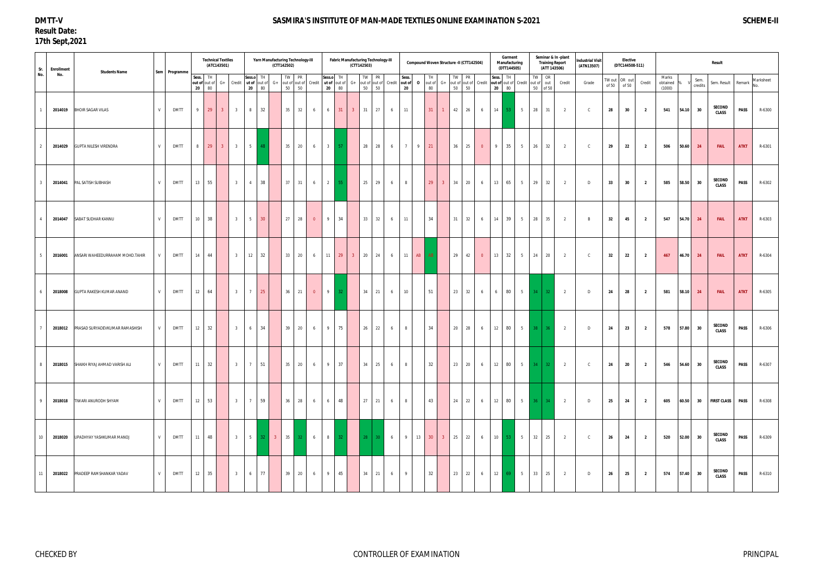#### **DMTT-V Result Date: 17th Sept,2021**

#### SASMIRA'S INSTITUTE OF MAN-MADE TEXTILES ONLINE EXAMINATION S-2021 *SCHEME-II*

| Sr. | <b>Enrollment</b> | <b>Students Name</b>                  |   | Sem Programme |                                 | <b>Technical Textiles</b><br>(ATC143501) |                |                         |                                 |                 | (CTT142502) | Yarn Manufacturing Technology-III                      |                 |                         |                 |              | <b>Fabric Manufacturing Technology-III</b><br>(CTT142503) |                 |                 |                |              |                   |                | Compound Woven Structure -II (CTT142504)                       |                 |             | Garment<br>Manufacturing<br>(DTT144505) |                        |                                 | <b>Training Report</b><br>(ATT 143506) | Seminar & In-plant | <b>Industrial Visit</b><br>(ATN13507) |       | Elective<br>(DTC144508-511) |                         |                             |       |                 | <b>Result</b>             |             |                  |
|-----|-------------------|---------------------------------------|---|---------------|---------------------------------|------------------------------------------|----------------|-------------------------|---------------------------------|-----------------|-------------|--------------------------------------------------------|-----------------|-------------------------|-----------------|--------------|-----------------------------------------------------------|-----------------|-----------------|----------------|--------------|-------------------|----------------|----------------------------------------------------------------|-----------------|-------------|-----------------------------------------|------------------------|---------------------------------|----------------------------------------|--------------------|---------------------------------------|-------|-----------------------------|-------------------------|-----------------------------|-------|-----------------|---------------------------|-------------|------------------|
| No. | No.               |                                       |   |               | Sess. TH<br>out of out of<br>20 | 80                                       | G+ Credit      |                         | Sess.o TH<br>ut of out of<br>20 | 80              | $G+$        | TW PR<br>out of out of Credit ut of out of<br>50<br>50 |                 | Sess.o TH<br>20         | 80              | $G+$         | TW PR<br>out of out of<br>50 50                           |                 | Credit out of   | Sess.<br>20    | $\mathbf{0}$ | out of $G+$<br>80 |                | TW PR<br>out of out of Credit out of out of Credit<br>50<br>50 |                 | Sess.<br>20 | TH<br>80                                |                        | TW OR<br>out of out<br>50 of 50 |                                        | Credit             | Grade                                 | of 50 | TW out OR out<br>of 50      | Credit                  | Marks<br>obtained<br>(1000) |       | Sem.<br>credits | Sem. Result Remark        |             | Marksheet<br>No. |
|     | 2014019           | <b>BHOIR SAGAR VILAS</b>              | V | <b>DMTT</b>   | $9$ 29                          |                                          | 3 <sup>7</sup> | $\overline{\mathbf{3}}$ | 8 <sup>2</sup>                  | 32              |             | 32<br>35                                               | 6               | 6                       |                 | $31 \quad 3$ | 31 27                                                     |                 | 6               | 11             |              | 31                | $\mathbf{1}$   | 26<br>42                                                       | 6               | 14          | $-53$                                   | 5 <sup>5</sup>         | 28 31                           |                                        | $\overline{2}$     | $\mathsf{C}$                          | 28    | 30                          | $\overline{\mathbf{2}}$ | 541                         | 54.10 | 30              | SECOND<br><b>CLASS</b>    | PASS        | R-6300           |
|     | 2014029           | <b>GUPTA NILESH VIRENDRA</b>          | V | <b>DMTT</b>   | 8                               | 29                                       | 3 <sup>2</sup> | 3 <sup>3</sup>          | 5 <sup>5</sup>                  | -48             |             | 35<br>20                                               | 6               | $\overline{\mathbf{3}}$ | 57              |              | 28                                                        | 28              | 6               | 7              | 9            | 21                |                | 36<br>25                                                       | $\overline{0}$  | 9           | 35                                      | 5 <sup>5</sup>         | 26                              | 32                                     | $\overline{2}$     | C                                     | 29    | 22                          | $\overline{2}$          | 506                         | 50.60 | 24              | <b>FAIL</b>               | <b>ATKT</b> | R-6301           |
|     | 2014041           | PAL SATISH SUBHASH                    | V | <b>DMTT</b>   | 13                              | 55                                       |                | $\overline{\mathbf{3}}$ | $\overline{4}$                  | 38              |             | 37<br>31                                               | 6               | $\overline{2}$          | 55              |              | 25                                                        | 29              | 6               | 8              |              | 29                | 3 <sup>°</sup> | 34<br>20                                                       | 6               | 13          | 65                                      | 5 <sup>5</sup>         | 29                              | 32                                     | $\overline{2}$     | D                                     | 33    | 30                          | $\overline{2}$          | 585                         | 58.50 | 30              | SECOND<br><b>CLASS</b>    | <b>PASS</b> | R-6302           |
|     | 2014047           | SABAT SUDHAR KANNU                    | V | <b>DMTT</b>   | 10                              | 38                                       |                | $\overline{\mathbf{3}}$ | $5\overline{)}$                 | 30 <sup>°</sup> |             | 27<br>28                                               | $\overline{0}$  | 9                       | 34              |              | 33                                                        | 32              | 6               | 11             |              | 34                |                | 31<br>32                                                       | 6               | 14          | 39                                      | 5 <sub>5</sub>         | 28                              | 35                                     | $\overline{2}$     | $\overline{R}$                        | 32    | 45                          | $\overline{\mathbf{2}}$ | 547                         | 54.70 | 24              | <b>FAIL</b>               | <b>ATKT</b> | R-6303           |
|     | 2016001           | ANSARI WAHEEDURRAHAM MOHD.TAHIR       | V | <b>DMTT</b>   | 14 44                           |                                          |                | $\overline{3}$          | 12                              | 32              |             | 33 20                                                  | $6\quad$        |                         |                 |              | 11 29 3 20 24                                             |                 | $6\overline{6}$ |                | 11 AB AB     |                   |                | 29 42                                                          | $\overline{0}$  | 13          | 32                                      | 5 <sup>5</sup>         | 24 20                           |                                        | $\overline{2}$     | $\mathsf{C}$                          | 32    | 22                          | $\overline{\mathbf{2}}$ | 467                         |       | $46.70$ 24      | <b>FAIL</b>               | <b>ATKT</b> | R-6304           |
|     | 2018008           | GUPTA RAKESH KUMAR ANAND              | V | <b>DMTT</b>   | 12                              | 64                                       |                | $\overline{\mathbf{3}}$ | $7\overline{ }$                 | 25              |             | 36<br>21                                               | $\overline{0}$  | 9 <sup>1</sup>          | 32 <sup>2</sup> |              | 34                                                        | 21              | 6               | 10             |              | 51                |                | 23<br>32                                                       | 6 <sup>6</sup>  | 6           | 80                                      | $5 \Box$               | $34 \mid 32$                    |                                        | $\overline{2}$     | D                                     | 24    | 28                          | $\overline{2}$          | 581                         | 58.10 | 24              | <b>FAIL</b>               | <b>ATKT</b> | R-6305           |
|     | 2018012           | PRASAD SURYADEVKUMAR RAMASHISH        | V | <b>DMTT</b>   | 12                              | 32                                       |                | $\overline{3}$          | 6                               | 34              |             | 39<br>20                                               | 6               | 9                       | 75              |              | 26                                                        | 22              | 6               | 8              |              | 34                |                | 20 28                                                          | 6 <sup>6</sup>  | 12          | 80                                      | $5 \quad \blacksquare$ | $38$ 36                         |                                        | $\overline{2}$     | D                                     | 24    | 23                          | $\overline{2}$          | 578                         | 57.80 | 30              | SECOND<br><b>CLASS</b>    | <b>PASS</b> | R-6306           |
| 8   |                   | 2018015 SHAIKH RIYAJ AHMAD VARISH ALI | V | <b>DMTT</b>   | 11 32                           |                                          |                | 3 <sup>3</sup>          | $7\overline{ }$                 | 51              |             | 20<br>35                                               | 6               | 9                       | 37              |              | 34 25                                                     |                 | 6               | 8              |              | 32                |                | 23 20                                                          | 6               | 12          | 80                                      |                        | $5 \qquad 34 \qquad 32$         |                                        | $\overline{2}$     |                                       | 24    | 20                          | $\overline{\mathbf{2}}$ | 546                         | 54.60 | 30              | SECOND<br><b>CLASS</b>    | PASS        | R-6307           |
| -9  |                   | 2018018 TIWARI ANURODH SHYAM          | V | <b>DMTT</b>   | $12 \mid 53$                    |                                          |                | 3 <sup>1</sup>          | $7\overline{ }$                 | 59              |             | $36 \mid 28$                                           | 6               | 6                       | 48              |              | 27 21                                                     |                 | 6               | 8              |              | 43                |                | 24 22                                                          | $6\overline{6}$ |             | 12 80                                   | 5 36 34                |                                 |                                        | $\overline{2}$     | D                                     | 25    | 24                          | $\overline{\mathbf{2}}$ | 605                         |       |                 | 60.50 30 FIRST CLASS PASS |             | R-6308           |
| 10  | 2018020           | UPADHYAY YASHKUMAR MANOJ              | V | <b>DMTT</b>   | 11                              | 48                                       |                | 3 <sup>3</sup>          |                                 |                 |             | 5 32 3 35 32                                           |                 | $6 \qquad 8$            | 32              |              | 28                                                        | 30 <sup>°</sup> | $6\overline{6}$ | 9 <sup>1</sup> | 13           | 30                | 3 <sup>2</sup> | 25 22 6                                                        |                 |             | 10 53 5                                 |                        | 32 25                           |                                        | $\overline{2}$     | $\mathbf{C}$                          | 26    | 24                          | $\overline{2}$          | 520                         |       | 52.00 30        | SECOND<br><b>CLASS</b>    | PASS        | R-6309           |
| 11  | 2018022           | PRADEEP RAMSHANKAR YADAV              | V | <b>DMTT</b>   | $12 \mid 35$                    |                                          |                | $\overline{3}$          | $6\overline{6}$                 | 77              |             | 39 20                                                  | $6\overline{)}$ | 9 <sup>1</sup>          | 45              |              | 34 21                                                     |                 | 6               | 9              |              | 32                |                | 23 22                                                          |                 |             |                                         | $6 \t 12 \t 69 \t 5$   | 33 25                           |                                        | $\overline{2}$     | D                                     | 26    | 25                          | $\overline{\mathbf{2}}$ | 574                         |       | 57.40 30        | SECOND<br><b>CLASS</b>    | <b>PASS</b> | R-6310           |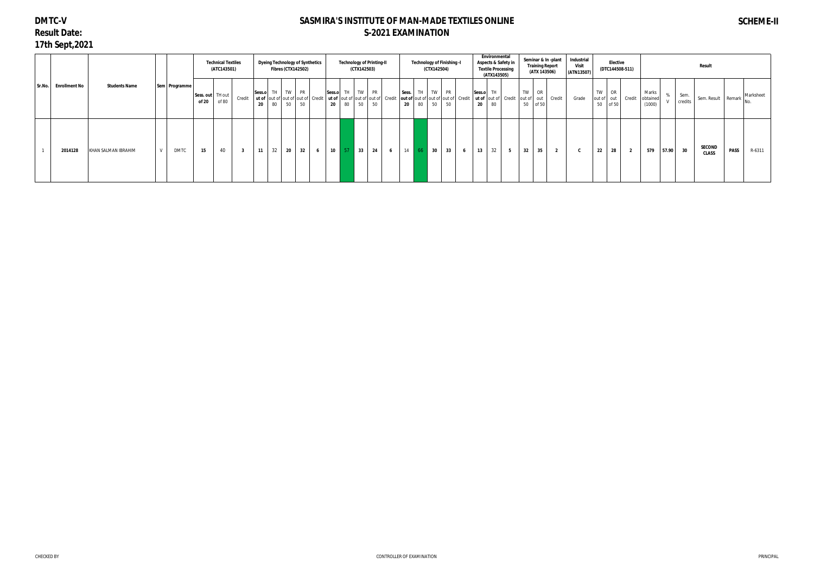# **DMTC-V Result Date: 17th Sept,2021**

## **SASMIRA'S INSTITUTE OF MAN-MADE TEXTILES ONLINE S-2021 EXAMINATION**

# **SCHEME-II**

|        |                      |                      |               |                             | <b>Technical Textiles</b><br>(ATC143501) |                         | <b>Dyeing Technology of Synthetics</b>                     | <b>Fibres (CTX142502)</b> |             |                 |                             | (CTX142503)        | <b>Technology of Printing-II</b>                                                          |                 |             |    | Technology of Finishing -I<br>(CTX142504) |                 |   |              | Environmental<br>(ATX143505) | Aspects & Safety in<br><b>Textile Processing</b> |            | <b>Training Report</b><br>(ATX 143506) | Seminar & In -plant | Industrial<br><b>Visit</b><br>(ATN13507) |                     | <b>Elective</b><br>(DTC144508-511) |        |                             |       |                 | Result                        |             |                  |
|--------|----------------------|----------------------|---------------|-----------------------------|------------------------------------------|-------------------------|------------------------------------------------------------|---------------------------|-------------|-----------------|-----------------------------|--------------------|-------------------------------------------------------------------------------------------|-----------------|-------------|----|-------------------------------------------|-----------------|---|--------------|------------------------------|--------------------------------------------------|------------|----------------------------------------|---------------------|------------------------------------------|---------------------|------------------------------------|--------|-----------------------------|-------|-----------------|-------------------------------|-------------|------------------|
| Sr.No. | <b>Enrollment No</b> | <b>Students Name</b> | Sem Programme | Sess. out   TH out<br>of 20 | of 80                                    | Credit                  | Sess.o TH<br>ut of out of out of out of Credit<br>80<br>20 | 50                        | TW PR<br>50 |                 | Sess.o TH TW PR<br>20 80 50 |                    | ut of  out of  out of   out of   Credit   out of  out of   out of   out of   Credit<br>50 |                 | Sess.<br>20 | 80 | TH TW<br>50                               | <b>PR</b><br>50 |   | Sess.o<br>20 | TH.<br>80                    | ut of out of Credit                              | out of out | TW OR<br>50 of 50                      | Credit              | Grade                                    | TW OR<br>out of out | 50 of 50                           | Credit | Marks<br>obtained<br>(1000) |       | Sem.<br>credits | Sem. Result Remark            |             | Marksheet<br>No. |
|        | 2014128              | KHAN SALMAN IBRAHIM  | <b>DMTC</b>   | 15                          | 40                                       | $\overline{\mathbf{3}}$ | 32<br>11                                                   | 20                        | 32          | $6\overline{6}$ | $10 \mid 57$                | $\vert$ 33 $\vert$ | 24                                                                                        | $6\overline{6}$ | $14$ 66     |    | 30                                        | 33              | 6 | 13           | 32                           | $5^{\circ}$                                      | 32         | 35                                     | $\overline{2}$      | C                                        | 22                  | 28                                 |        | 579                         | 57.90 | 30              | <b>SECOND</b><br><b>CLASS</b> | <b>PASS</b> | R-6311           |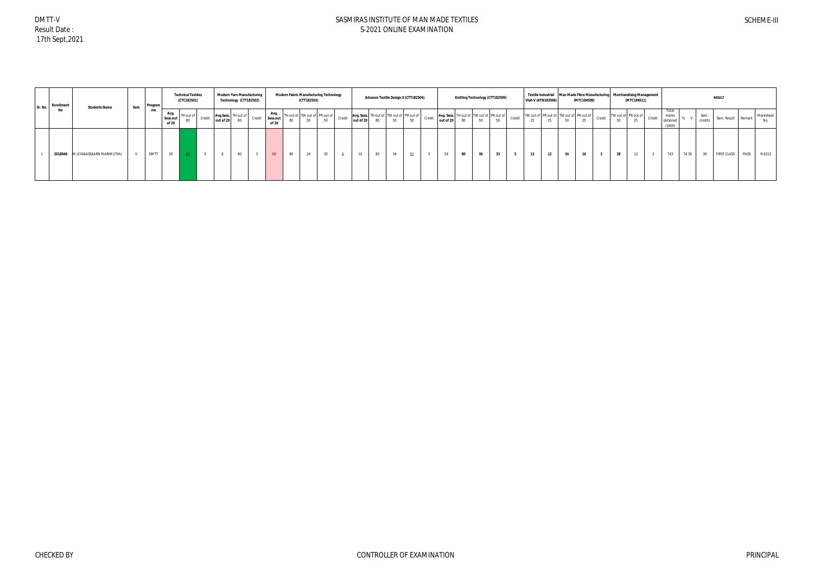DMTT-V Result Date : 17th Sept,2021

| Sr. No. | Enrollment | <b>Students Name</b>    | Sem | <b>Program</b> |                           | <b>Technical Textiles</b><br>(CTC182501) |        |              | <b>Modern Yarn Manufacturing</b><br>Technology (CTT182502) |                                  |    | (CTT182503) | <b>Modern Fabric Manufacturing Technology</b> |        |                 | Advance Textile Design-II (CTT182504)          |    |           |        |           |    |    | Knitting Technology (CTT182505)                |        | Textile Industrial Man Made Fibre Manufacturing Merchandising Management<br><b>Visit-V (ATN183506)</b> |            | (MTC184509) |        |                           | (MTC184511) |        |                                     |       |                 | <b>RESULT</b>      |      |                  |
|---------|------------|-------------------------|-----|----------------|---------------------------|------------------------------------------|--------|--------------|------------------------------------------------------------|----------------------------------|----|-------------|-----------------------------------------------|--------|-----------------|------------------------------------------------|----|-----------|--------|-----------|----|----|------------------------------------------------|--------|--------------------------------------------------------------------------------------------------------|------------|-------------|--------|---------------------------|-------------|--------|-------------------------------------|-------|-----------------|--------------------|------|------------------|
|         | No         |                         |     | me             | Avg.<br>Sess.out<br>of 20 | TH out of<br>80                          | Credit | out of 20 80 | Avg.Sess. TH out of                                        | Avg.<br>Credit Sess.out<br>of 20 |    |             | TH out of TW out of PR out of<br>50           | Credit | out of 20       | Avg. Sess. TH out of TW out of PR out of<br>80 | 50 | 50        | Credit | out of 20 | 80 | 50 | Avg. Sess. TH out of TW out of PR out of<br>50 | Credit | TW out of PR out of TW out of PR out of<br>25                                                          | OF.<br>-40 | 25          | Credit | TW out of PR out of<br>50 | - 20        | Credit | Tota<br>marks<br>obtained<br>(1000) |       | Sem.<br>credits | Sem. Result Remark |      | Marksheet<br>No. |
|         | 2018046    | M.GYANASEKARN MARIMUTHU |     | <b>DMTT</b>    | 20                        |                                          |        |              | 80                                                         |                                  | 80 | 24          | 30                                            |        | 10 <sup>1</sup> | 80                                             |    | 22<br>-32 |        | 19        | 80 | 36 | 33                                             |        | 13                                                                                                     | 12         | 16          |        | 28                        |             |        | 743                                 | 74.30 | 30              | <b>FIRST CLASS</b> | PASS | R-6312           |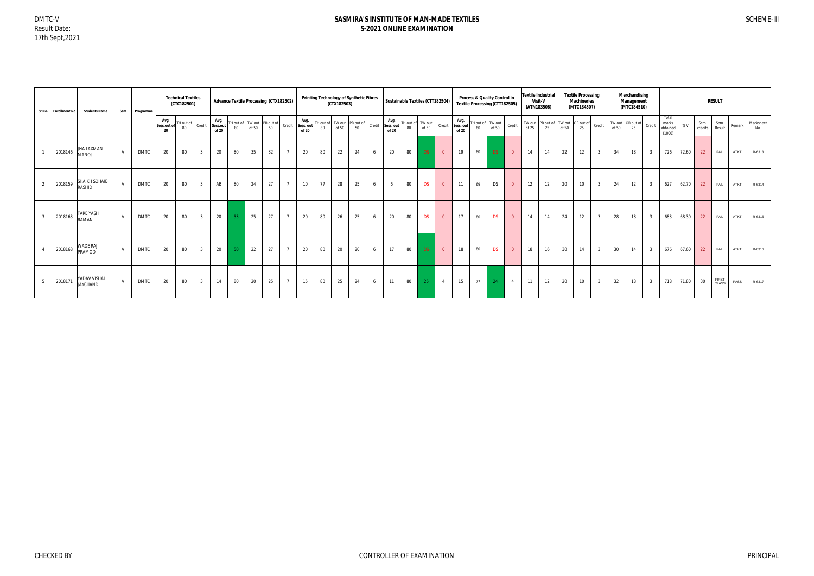|     | Sr.No. Enrollment No | <b>Students Name</b>            | Sem | Programme   |                           | <b>Technical Textiles</b><br>(CTC182501) |                |                           |                |       | <b>Advance Textile Processing (CTX182502)</b> |                 |                            |                 | Printing Technology of Synthetic Fibres<br>(CTX182503) |    |        |                            |                        | Sustainable Textiles (CTT182504) |                |                            |    | Process & Quality Control in<br><b>Textile Processing (CTT182505)</b> |                |                 | <b>Textile Industrial</b><br>Visit-V<br>(ATN183506) |                 | <b>Textile Processing</b><br><b>Machineries</b><br>(MTC184507) |                         |       | Merchandising<br>Management<br>(MTC184510) |                |                                      |       |                 | <b>RESULT</b>  |        |                  |
|-----|----------------------|---------------------------------|-----|-------------|---------------------------|------------------------------------------|----------------|---------------------------|----------------|-------|-----------------------------------------------|-----------------|----------------------------|-----------------|--------------------------------------------------------|----|--------|----------------------------|------------------------|----------------------------------|----------------|----------------------------|----|-----------------------------------------------------------------------|----------------|-----------------|-----------------------------------------------------|-----------------|----------------------------------------------------------------|-------------------------|-------|--------------------------------------------|----------------|--------------------------------------|-------|-----------------|----------------|--------|------------------|
|     |                      |                                 |     |             | Avg.<br>Sess.out of<br>20 | TH out of<br>80                          | Credit         | Avg.<br>Sess.out<br>of 20 | TH out o<br>80 | of 50 | TW out PR out of<br>50                        | Credit          | Avg.<br>Sess. out<br>of 20 | TH out of<br>80 | TW out PR out of<br>of 50                              | 50 | Credit | Avg.<br>Sess. out<br>of 20 | TH out of TW out<br>80 | of 50                            | Credit         | Avg.<br>Sess. out<br>of 20 | 80 | TH out of TW out<br>of 50                                             | Credit         | TW out<br>of 25 | PR out of<br>25                                     | TW out<br>of 50 | $\sqrt{C}$ OR out of<br>25                                     | Credit                  | of 50 | TW out OR out of<br>25                     | Credit         | Total<br>marks<br>obtained<br>(1000) | % V   | Sem.<br>credits | Sem.<br>Result | Remark | Marksheet<br>No. |
|     | 2018146              | JHA LAXMAN<br><b>LOVAM</b>      | V   | DMTC        | 20                        | 80                                       | $\overline{3}$ | 20                        | 80             | 35    | 32                                            | $\overline{7}$  | 20                         | 80              | 22                                                     | 24 | 6      | 20                         | 80                     | <b>DS</b>                        | $\overline{0}$ | 19                         | 80 | DS                                                                    | $\overline{0}$ | 14              | 14                                                  | 22              | 12                                                             | $\overline{3}$          | 34    | 18                                         |                | 726                                  | 72.60 | 22              | FAIL           | ATKT   | R-6313           |
|     | 2018159              | SHAIKH SOHAIB<br>RASHID         | V   | DMTC        | 20                        | 80                                       | $\overline{3}$ | AB                        | 80             | 24    | 27                                            | $\overline{7}$  | 10                         | 77              | 28                                                     | 25 | 6      | 6                          | 80                     | <b>DS</b>                        | $\overline{0}$ | 11                         | 69 | <b>DS</b>                                                             | $\overline{0}$ | 12              | 12                                                  | 20              | 10                                                             | $\overline{3}$          | 24    | 12                                         |                | 627                                  | 62.70 | 22              | FAIL           | ATKT   | R-6314           |
|     | 2018163              | <b>TARE YASH</b><br>RAMAN       | V   | DMTC        | 20                        | 80                                       | $\overline{3}$ | 20                        | -53            | 25    | 27                                            | $7^{\circ}$     | 20                         | 80              | 26                                                     | 25 | 6      | 20                         | 80                     | <b>DS</b>                        | $\overline{0}$ | 17                         | 80 | <b>DS</b>                                                             | $\overline{0}$ | 14              | 14                                                  | 24              | 12                                                             | $\overline{\mathbf{3}}$ | 28    | 18                                         | $\overline{3}$ | 683                                  | 68.30 | 22              | FAIL           | ATKT   | R-6315           |
|     | 2018168              | WADE RAJ<br>PRAMOD              | V   | <b>DMTC</b> | 20                        | 80                                       | $\overline{3}$ | 20                        | 50             | 22    | 27                                            | $\overline{7}$  | 20                         | 80              | 20                                                     | 20 | 6      | 17                         | 80                     | <b>DS</b>                        | $\overline{0}$ | 18                         | 80 | <b>DS</b>                                                             | $\overline{0}$ | 18              | 16                                                  | 30              | 14                                                             | $\overline{3}$          | 30    | 14                                         | 3              | 676                                  | 67.60 | 22              | FAIL           | ATKT   | R-6316           |
| - 5 | 2018171              | YADAV VISHAL<br><b>JAYCHAND</b> | V   | <b>DMTC</b> | 20                        | 80                                       | $\overline{3}$ | 14                        | 80             | 20    | 25                                            | $7\overline{ }$ | 15                         | 80              | 25                                                     | 24 | 6      | 11                         | 80                     | 25                               | $\overline{4}$ | 15                         | 77 | 24                                                                    | $\overline{4}$ | 11              | 12                                                  | 20              | 10                                                             | $\overline{3}$          | 32    | 18                                         | $\overline{3}$ | 718                                  | 71.80 | 30              | FIRST<br>CLASS | PASS   | R-6317           |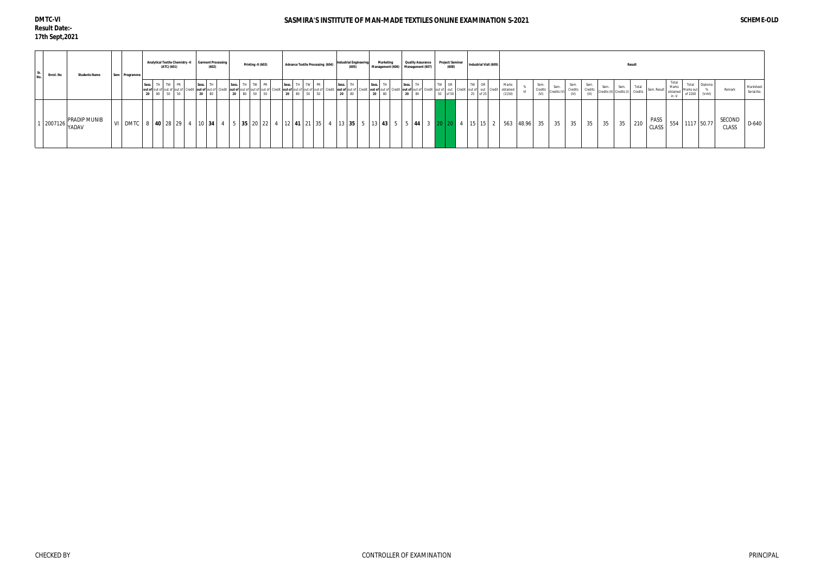#### **DMTC-VI Result Date:- 17th Sept,2021**

#### SASMIRA'S INSTITUTE OF MAN-MADE TEXTILES ONLINE EXAMINATION S-2021 *SCHEME-OLD*

| Enrol. No | <b>Students Name</b>           |  | Sem Programme |       |    | (ATC) (601) |                   | <b>Analytical Textile Chemistry -II</b> | <b>Garment Processing</b><br>(602) |                                                                     |  | Printing -II (603)                                                       | <b>Advance Textile Processing (604)</b> |                         |                |    | <b>Industrial Engineerin</b><br>(605) |  |                             | Marketing<br>Management (606) |  |                      | <b>Quality Assurance</b><br>Management (607) |                   |  | Project/Seminar<br>Industrial Visit (609)<br>(608) |          |  |                                                                                      | Result |                         |                   |      |                                       |    |    |                                                     |               |                                     |                |                                 |                 |                         |
|-----------|--------------------------------|--|---------------|-------|----|-------------|-------------------|-----------------------------------------|------------------------------------|---------------------------------------------------------------------|--|--------------------------------------------------------------------------|-----------------------------------------|-------------------------|----------------|----|---------------------------------------|--|-----------------------------|-------------------------------|--|----------------------|----------------------------------------------|-------------------|--|----------------------------------------------------|----------|--|--------------------------------------------------------------------------------------|--------|-------------------------|-------------------|------|---------------------------------------|----|----|-----------------------------------------------------|---------------|-------------------------------------|----------------|---------------------------------|-----------------|-------------------------|
|           |                                |  |               | Sess. | 80 |             | TH TW PR<br>50 50 |                                         | Sess.<br>20                        | TН<br>out of out of out of out of Credit out of out of Credit<br>80 |  | Sess. TH TW PR<br><b>Lout of L</b> out of Lout of Lout of<br>20 80 50 50 |                                         | Sess.<br>20<br>80       | TH TW PR<br>50 | 50 | Sess.<br>out of out of<br>20<br>80    |  | Sess.<br>out of out o<br>20 |                               |  | TH<br>Sess.<br>20 80 |                                              | TW OR<br>50 of 50 |  |                                                    | 25 of 25 |  | Marks<br>out of out of Credit out of out Credit out of out Credit obtained<br>(1150) |        | Sem.<br>Credits<br>(VI) | Sem.<br>Credits ( | (IV) | Sem. Sem.<br>Credits Credits<br>(III) |    |    | Sem. Sem. Total<br>Credits (II) Credits (I) Credits | Sem. Result   | Total<br>Marks<br>obtained<br>in -V | Marks out      | Total Diploma<br>of 2200 (V+VI) | Remark          | Marksheet<br>Serial.No. |
|           | $\cdot$   2007126 PRADIP MUNIB |  | VI DMTC       |       |    |             |                   |                                         |                                    | 8 40 28 29 4 10 34                                                  |  | $5$ 35 20 22                                                             |                                         | $4$   12   41   21   35 |                |    | $\vert$ 13 35                         |  |                             |                               |  |                      |                                              |                   |  |                                                    |          |  | $5   13   43   5   5   44   3   20   20   4   15   15   2   563   48.96$             |        | 35                      | 35                | 35   | 35                                    | 35 | 35 | 210                                                 | PASS<br>CLASS |                                     | 554 1117 50.77 |                                 | SECOND<br>CLASS | D-640                   |